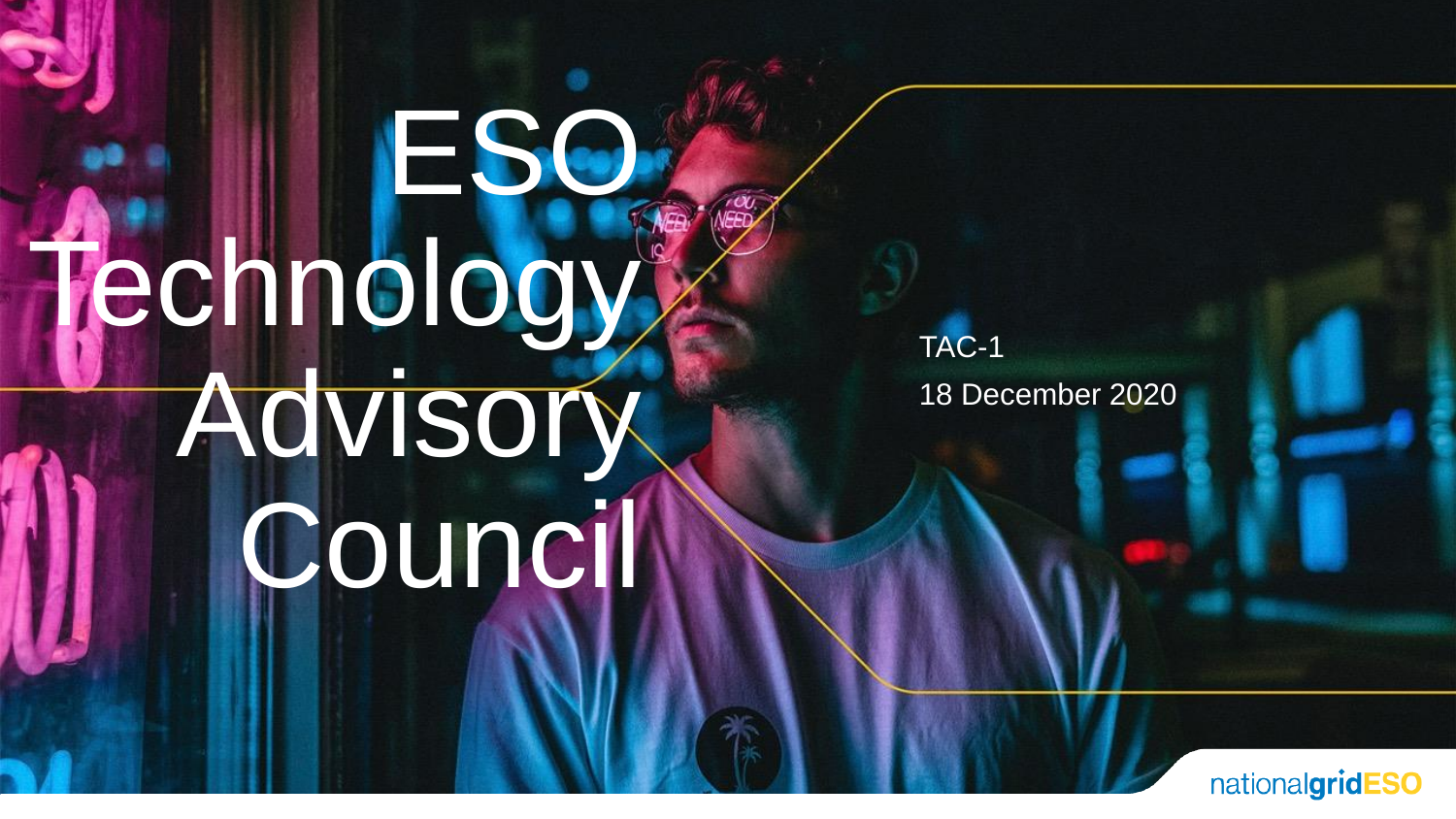# ESO Technology<sup>®</sup> Advisory Council

TAC-1 18 December 2020

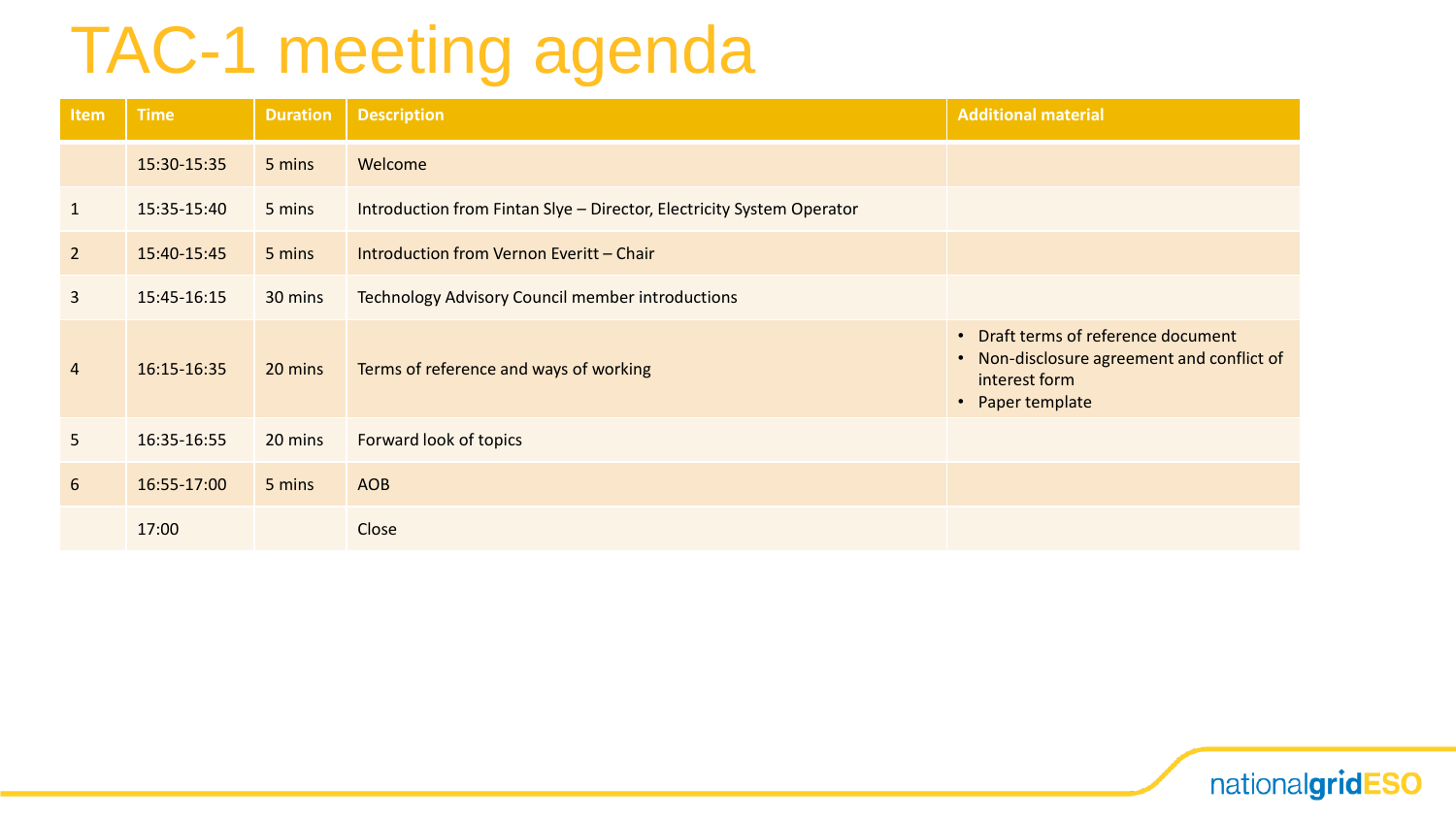## TAC-1 meeting agenda

| Item           | <b>Time</b> | <b>Duration</b> | <b>Description</b>                                                    | <b>Additional material</b>                                                                                             |
|----------------|-------------|-----------------|-----------------------------------------------------------------------|------------------------------------------------------------------------------------------------------------------------|
|                | 15:30-15:35 | 5 mins          | Welcome                                                               |                                                                                                                        |
| $\mathbf{1}$   | 15:35-15:40 | 5 mins          | Introduction from Fintan Slye - Director, Electricity System Operator |                                                                                                                        |
| $\overline{2}$ | 15:40-15:45 | 5 mins          | Introduction from Vernon Everitt - Chair                              |                                                                                                                        |
| $\overline{3}$ | 15:45-16:15 | 30 mins         | <b>Technology Advisory Council member introductions</b>               |                                                                                                                        |
| 4              | 16:15-16:35 | 20 mins         | Terms of reference and ways of working                                | • Draft terms of reference document<br>• Non-disclosure agreement and conflict of<br>interest form<br>• Paper template |
| 5              | 16:35-16:55 | 20 mins         | Forward look of topics                                                |                                                                                                                        |
| 6              | 16:55-17:00 | 5 mins          | <b>AOB</b>                                                            |                                                                                                                        |
|                | 17:00       |                 | Close                                                                 |                                                                                                                        |

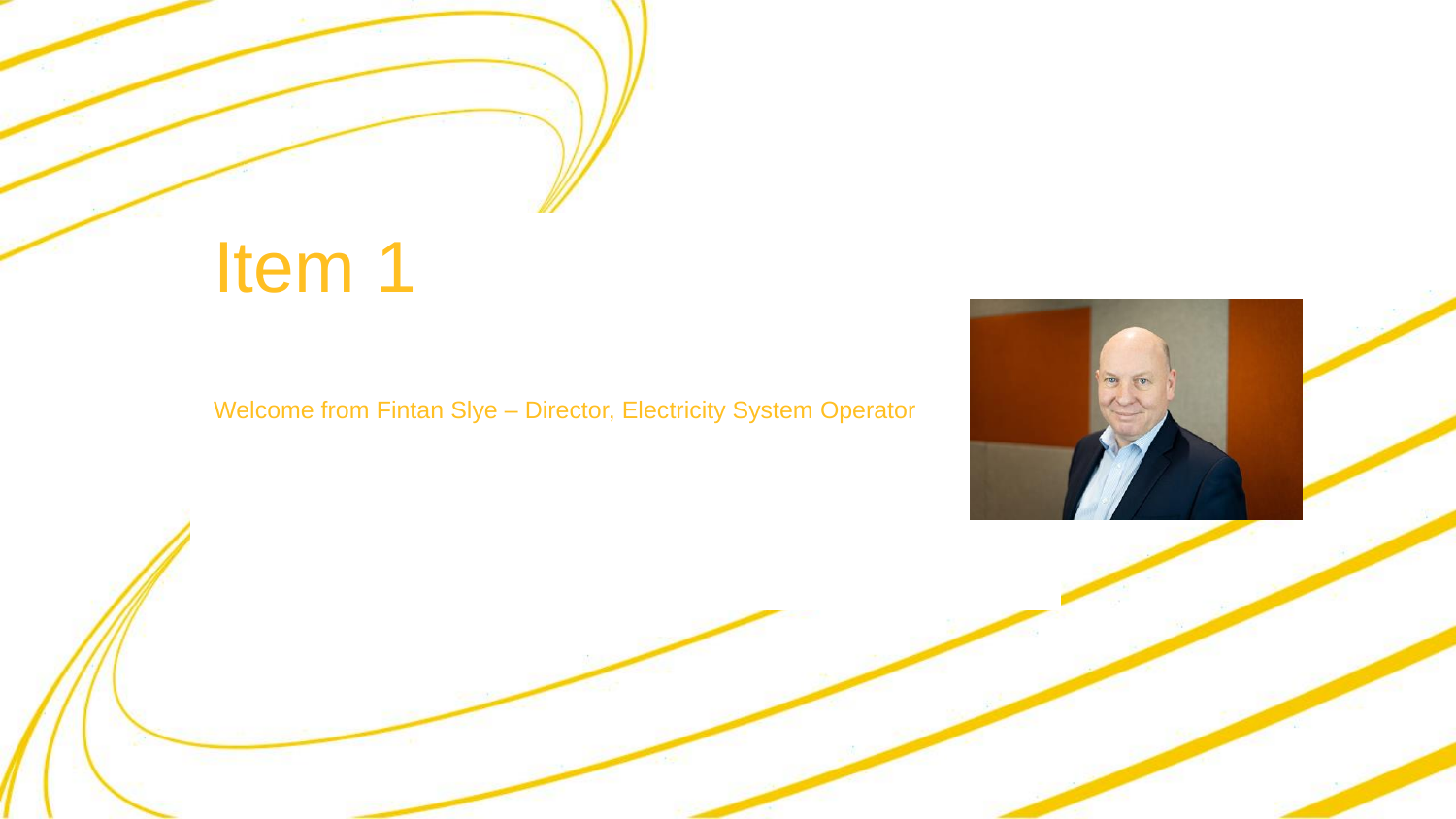## Item 1

#### Welcome from Fintan Slye – Director, Electricity System Operator

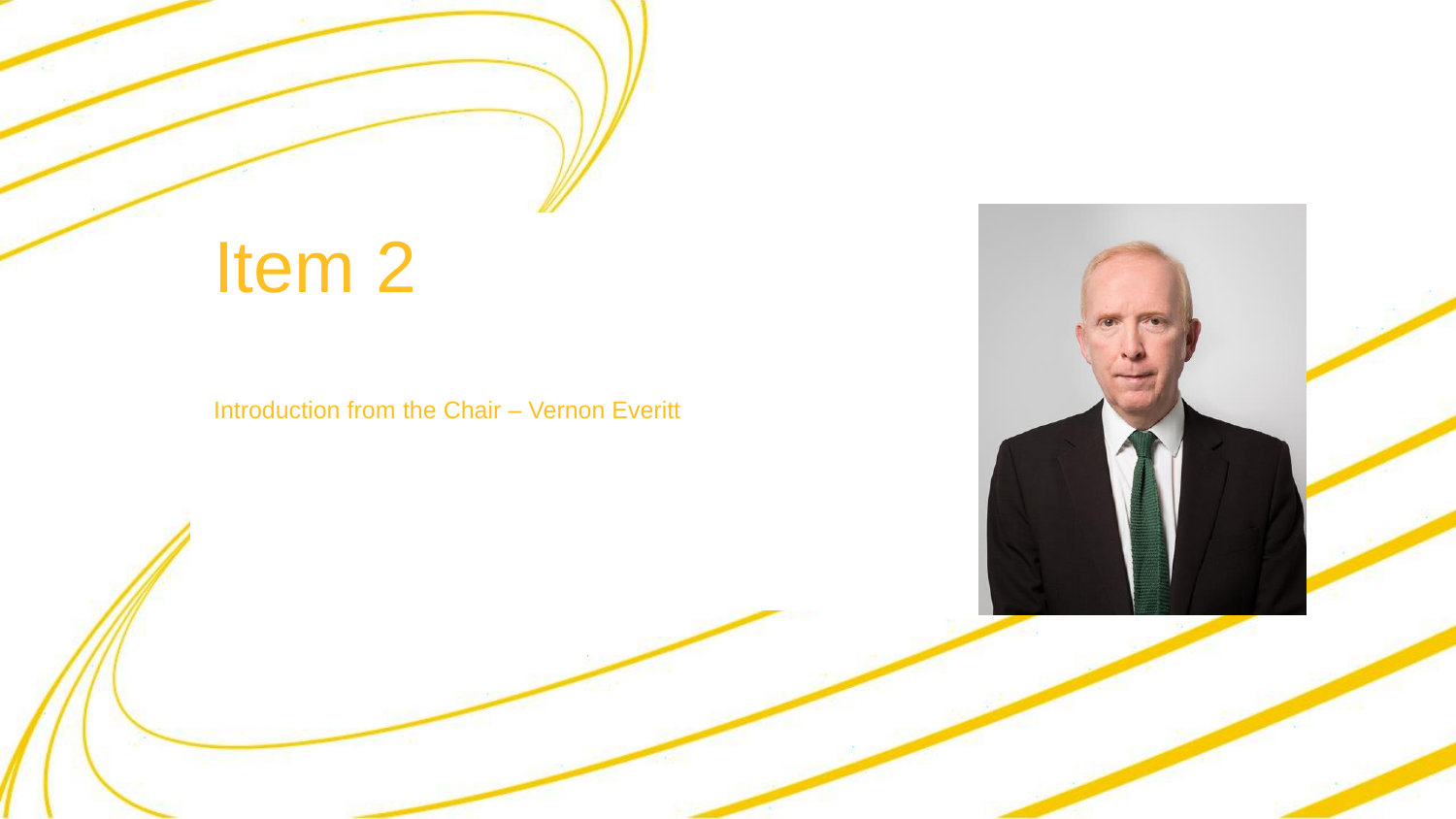## Item 2

Introduction from the Chair – Vernon Everitt

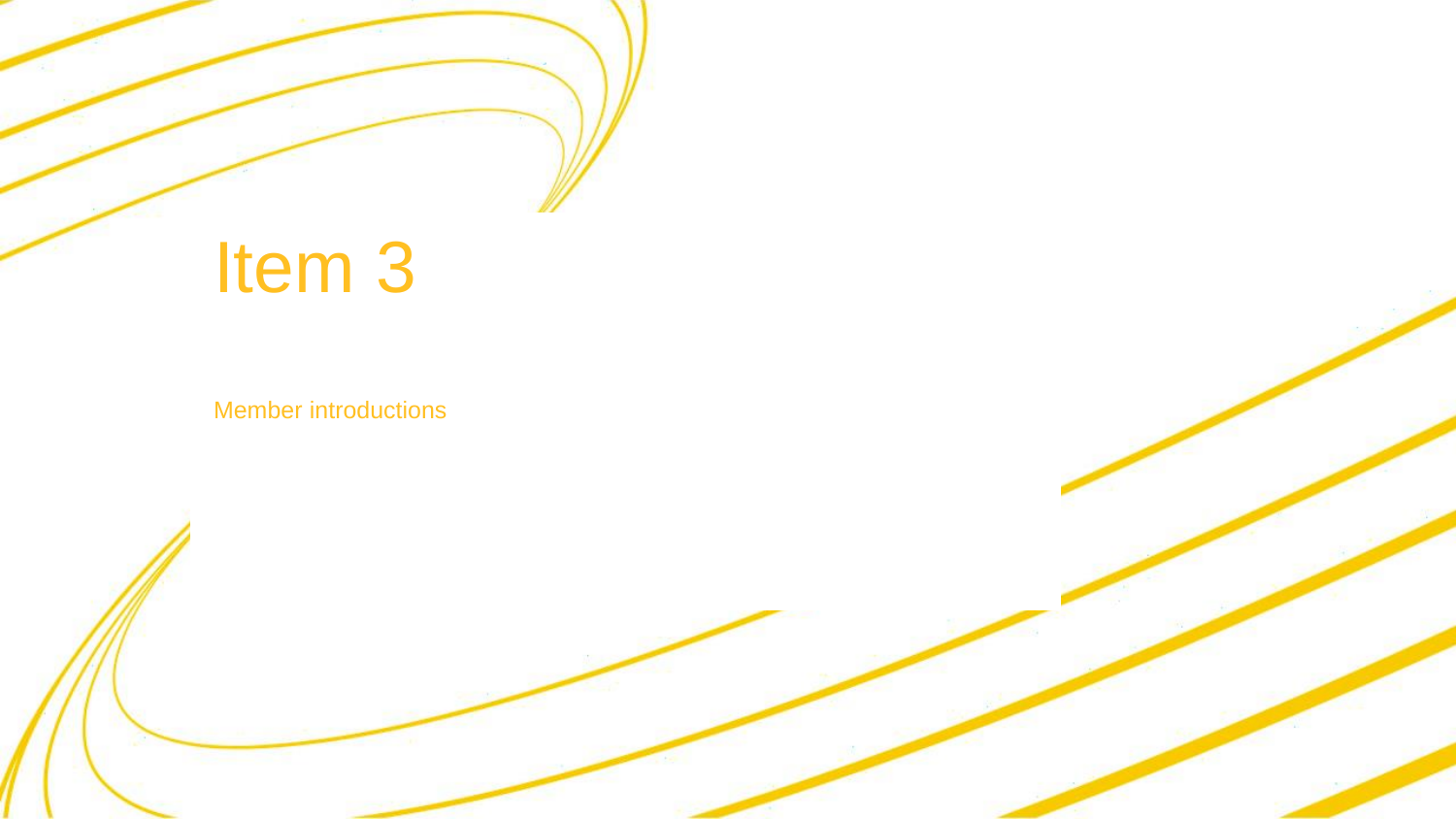

Member introductions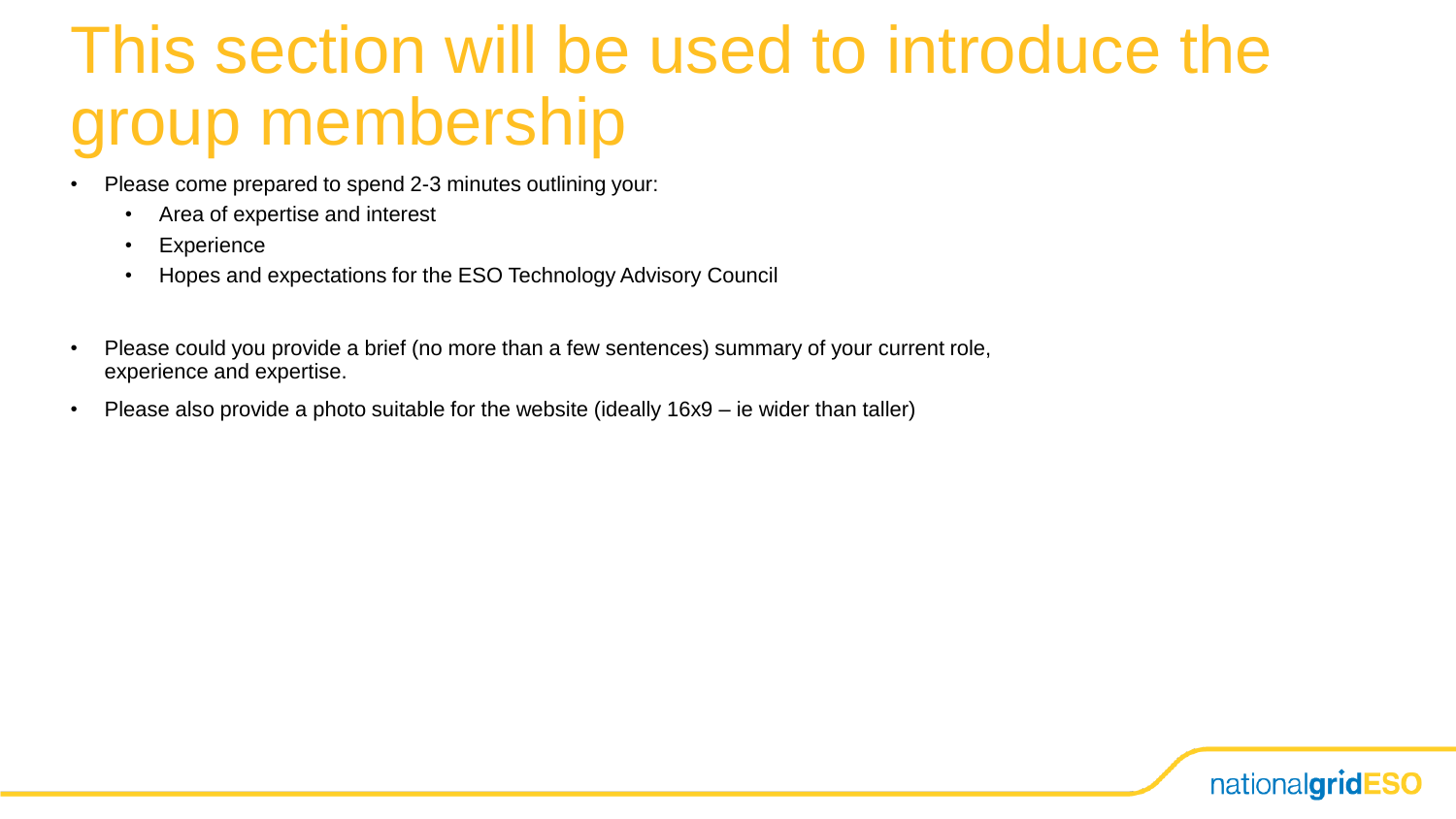### This section will be used to introduce the group membership

- Please come prepared to spend 2-3 minutes outlining your:
	- Area of expertise and interest
	- Experience
	- Hopes and expectations for the ESO Technology Advisory Council
- Please could you provide a brief (no more than a few sentences) summary of your current role, experience and expertise.
- Please also provide a photo suitable for the website (ideally 16x9 ie wider than taller)

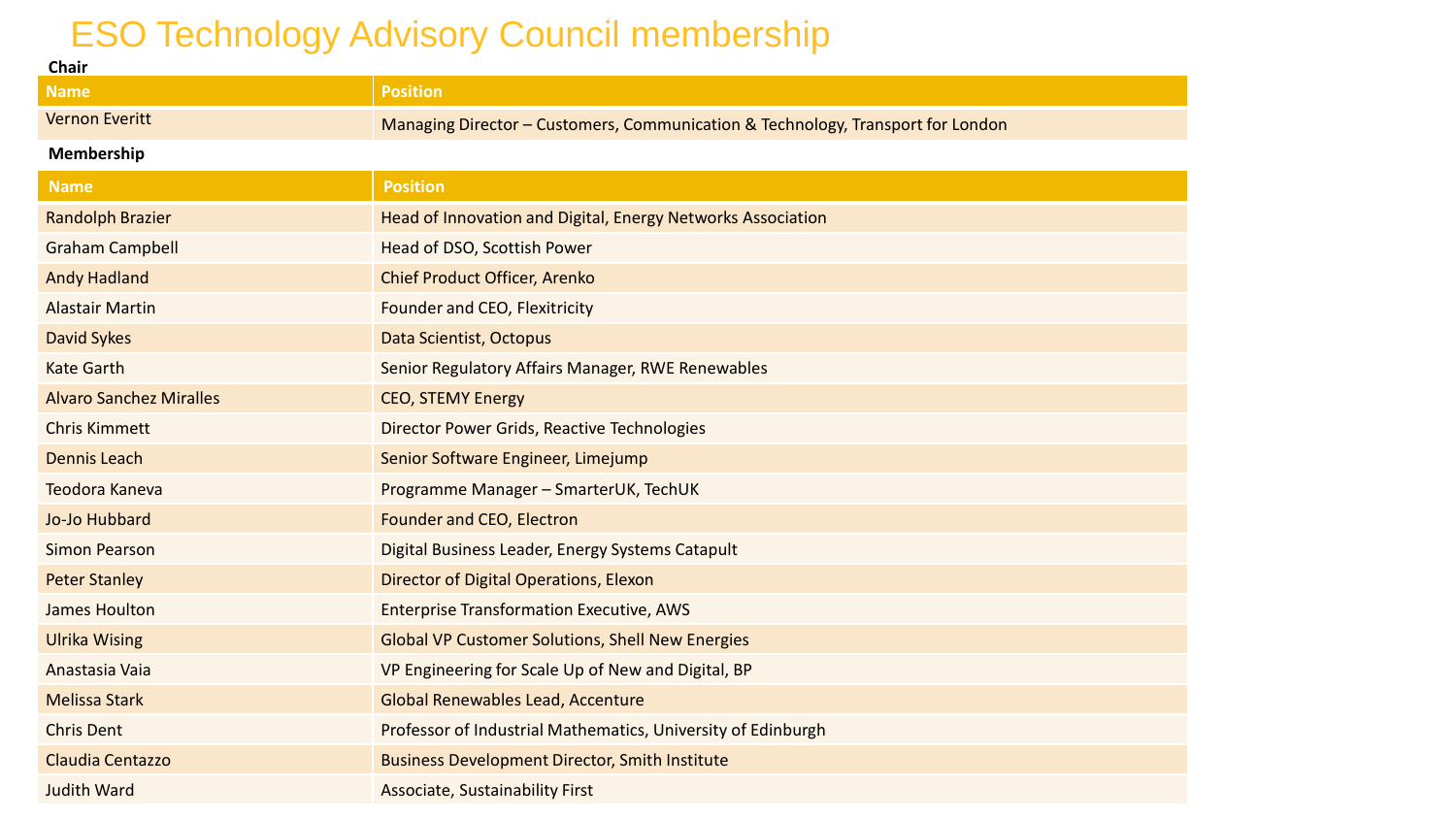#### ESO Technology Advisory Council membership

| <b>Chair</b>                   |                                                                                 |
|--------------------------------|---------------------------------------------------------------------------------|
| <b>Name</b>                    | <b>Position</b>                                                                 |
| <b>Vernon Everitt</b>          | Managing Director - Customers, Communication & Technology, Transport for London |
| Membership                     |                                                                                 |
| <b>Name</b>                    | <b>Position</b>                                                                 |
| <b>Randolph Brazier</b>        | Head of Innovation and Digital, Energy Networks Association                     |
| <b>Graham Campbell</b>         | Head of DSO, Scottish Power                                                     |
| <b>Andy Hadland</b>            | <b>Chief Product Officer, Arenko</b>                                            |
| <b>Alastair Martin</b>         | Founder and CEO, Flexitricity                                                   |
| <b>David Sykes</b>             | Data Scientist, Octopus                                                         |
| <b>Kate Garth</b>              | Senior Regulatory Affairs Manager, RWE Renewables                               |
| <b>Alvaro Sanchez Miralles</b> | <b>CEO, STEMY Energy</b>                                                        |
| <b>Chris Kimmett</b>           | Director Power Grids, Reactive Technologies                                     |
| <b>Dennis Leach</b>            | Senior Software Engineer, Limejump                                              |
| Teodora Kaneva                 | Programme Manager - SmarterUK, TechUK                                           |
| Jo-Jo Hubbard                  | Founder and CEO, Electron                                                       |
| <b>Simon Pearson</b>           | Digital Business Leader, Energy Systems Catapult                                |
| <b>Peter Stanley</b>           | Director of Digital Operations, Elexon                                          |
| James Houlton                  | <b>Enterprise Transformation Executive, AWS</b>                                 |
| <b>Ulrika Wising</b>           | <b>Global VP Customer Solutions, Shell New Energies</b>                         |
| Anastasia Vaia                 | VP Engineering for Scale Up of New and Digital, BP                              |
| <b>Melissa Stark</b>           | <b>Global Renewables Lead, Accenture</b>                                        |
| <b>Chris Dent</b>              | Professor of Industrial Mathematics, University of Edinburgh                    |
| Claudia Centazzo               | <b>Business Development Director, Smith Institute</b>                           |
| <b>Judith Ward</b>             | <b>Associate, Sustainability First</b>                                          |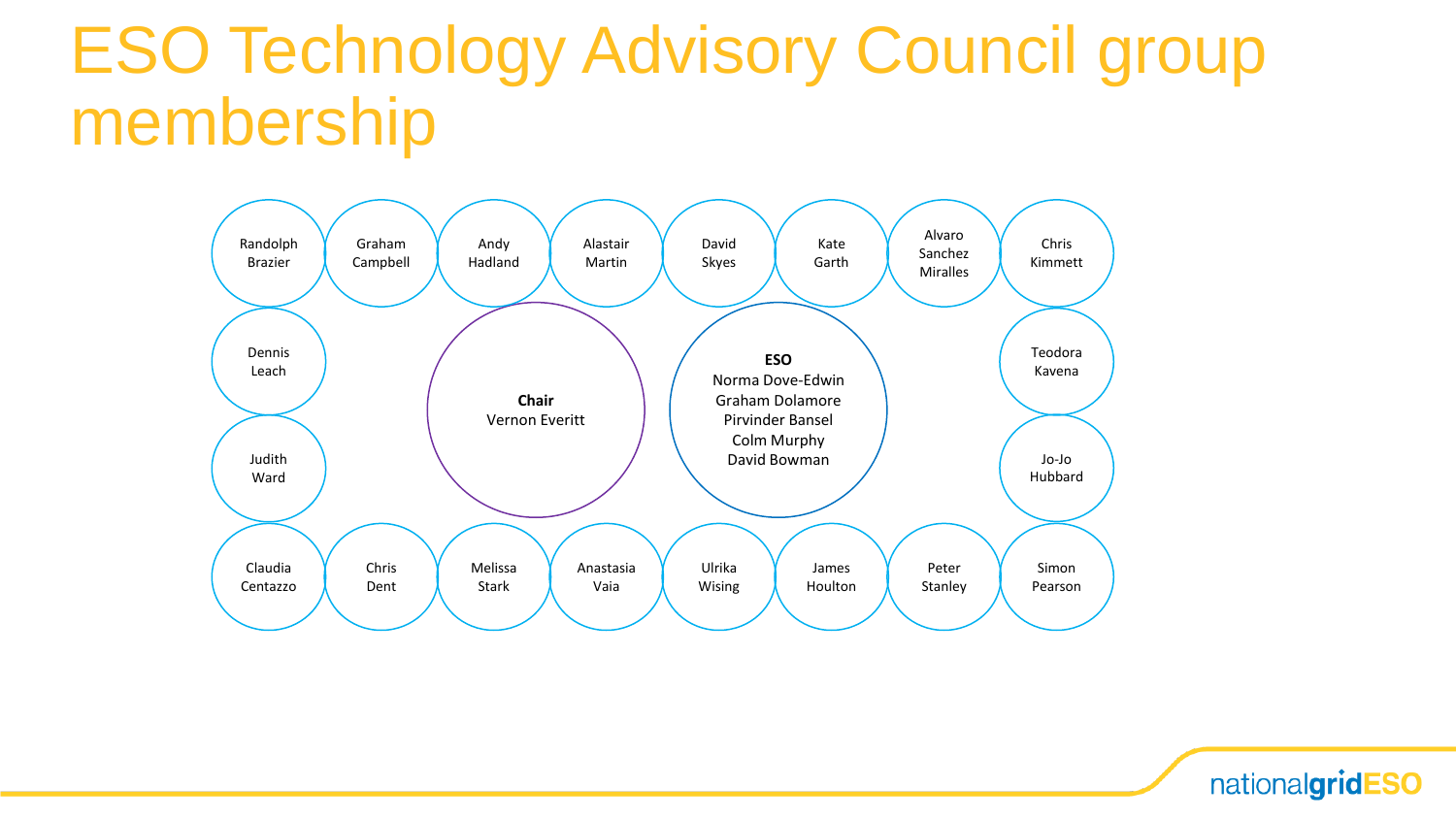### ESO Technology Advisory Council group membership



nationalgridESO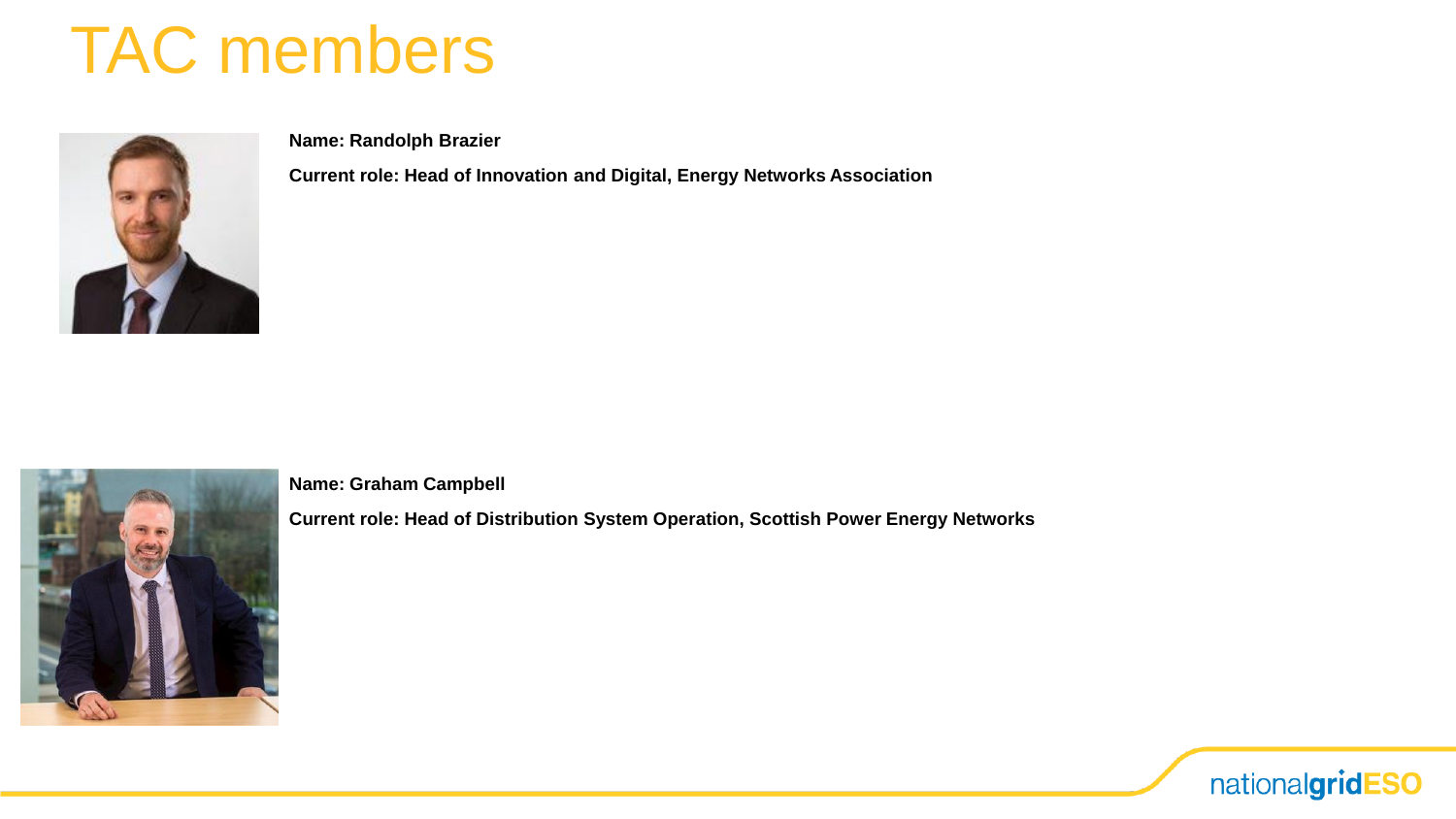

**Name: Randolph Brazier**

**Current role: Head of Innovation and Digital, Energy Networks Association**



**Name: Graham Campbell**

**Current role: Head of Distribution System Operation, Scottish Power Energy Networks**

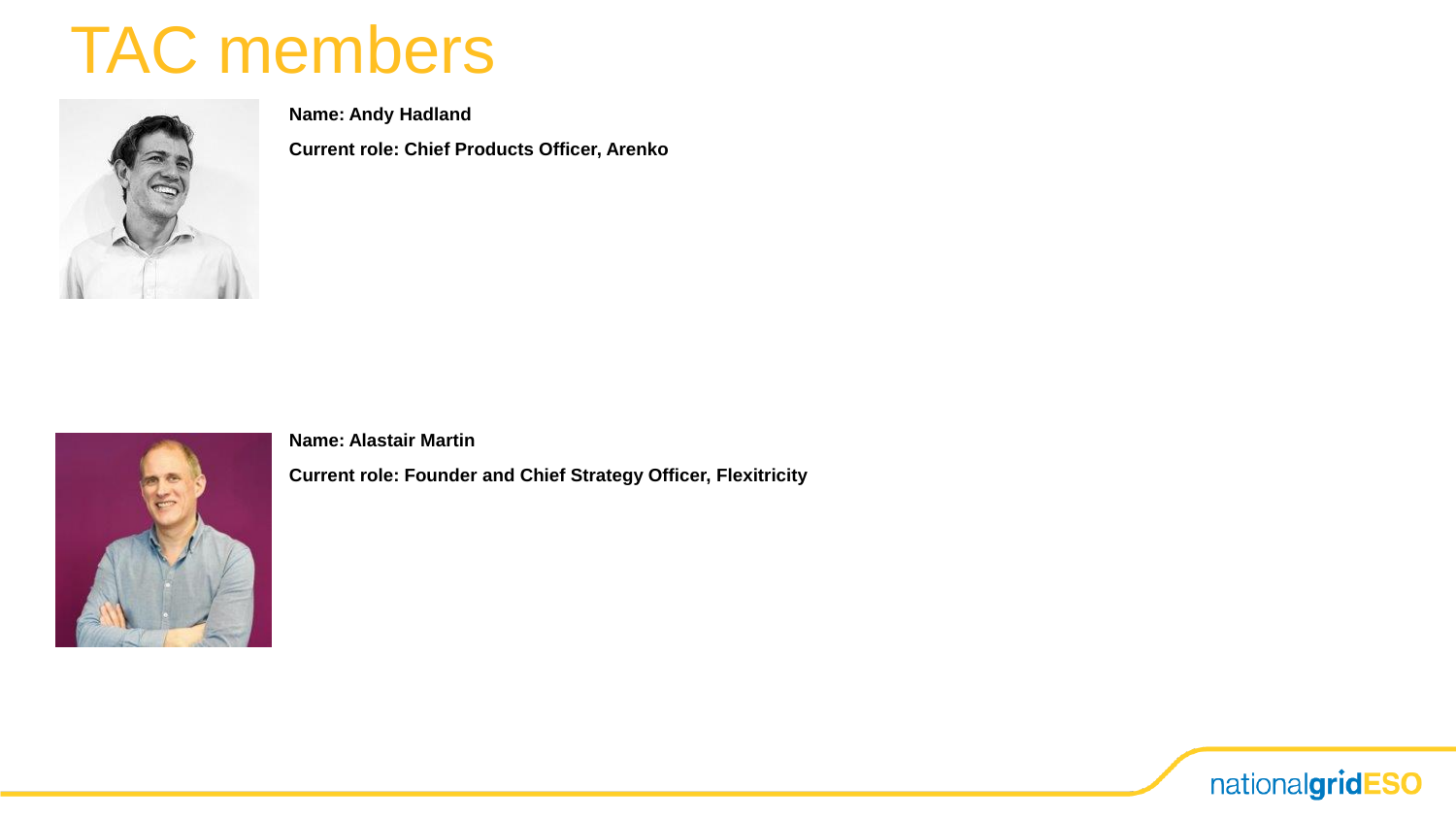

**Name: Andy Hadland**

**Current role: Chief Products Officer, Arenko**



**Name: Alastair Martin**

**Current role: Founder and Chief Strategy Officer, Flexitricity**

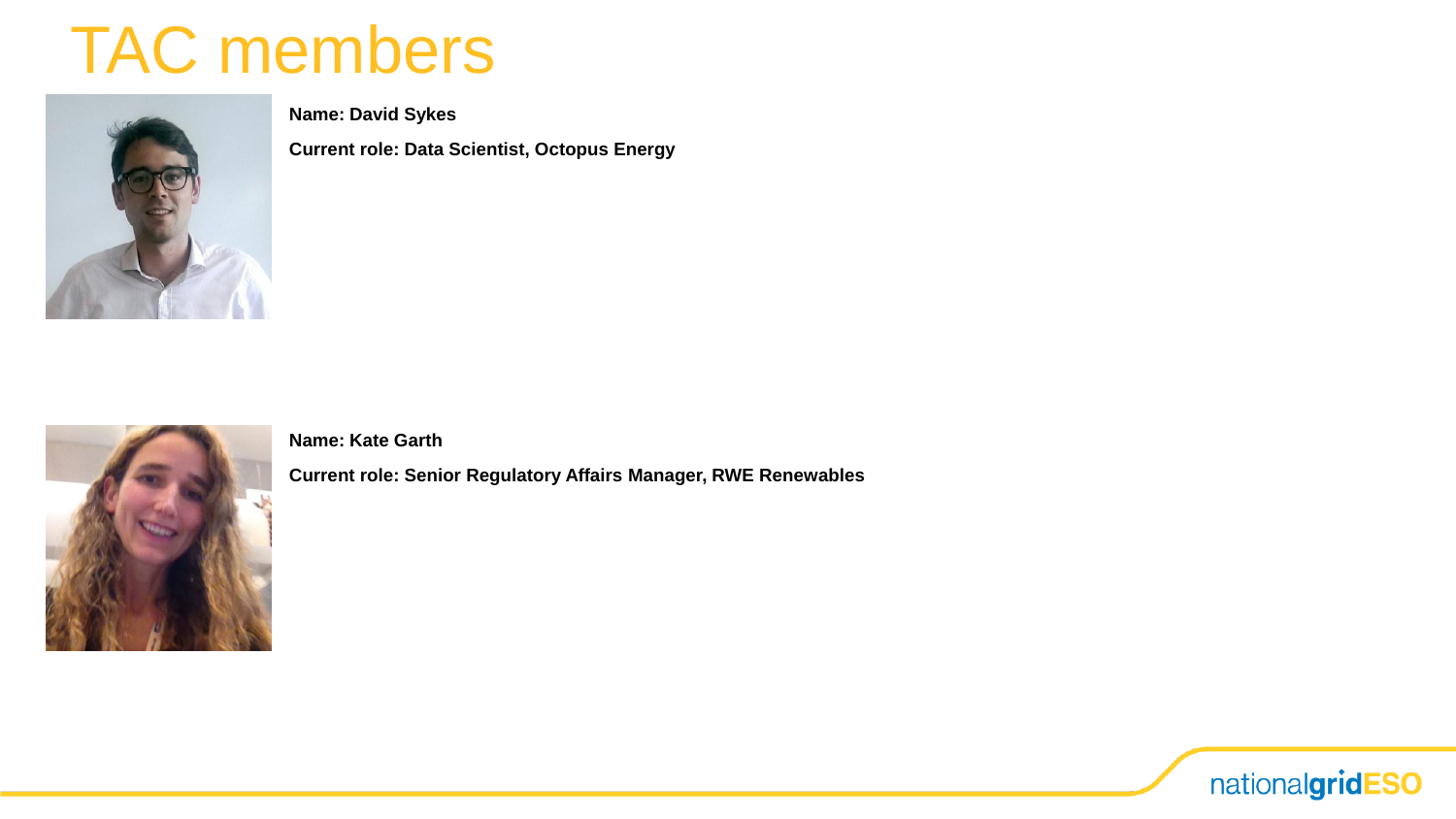

**Name: David Sykes**

**Current role: Data Scientist, Octopus Energy**



**Name: Kate Garth**

**Current role: Senior Regulatory Affairs Manager, RWE Renewables**

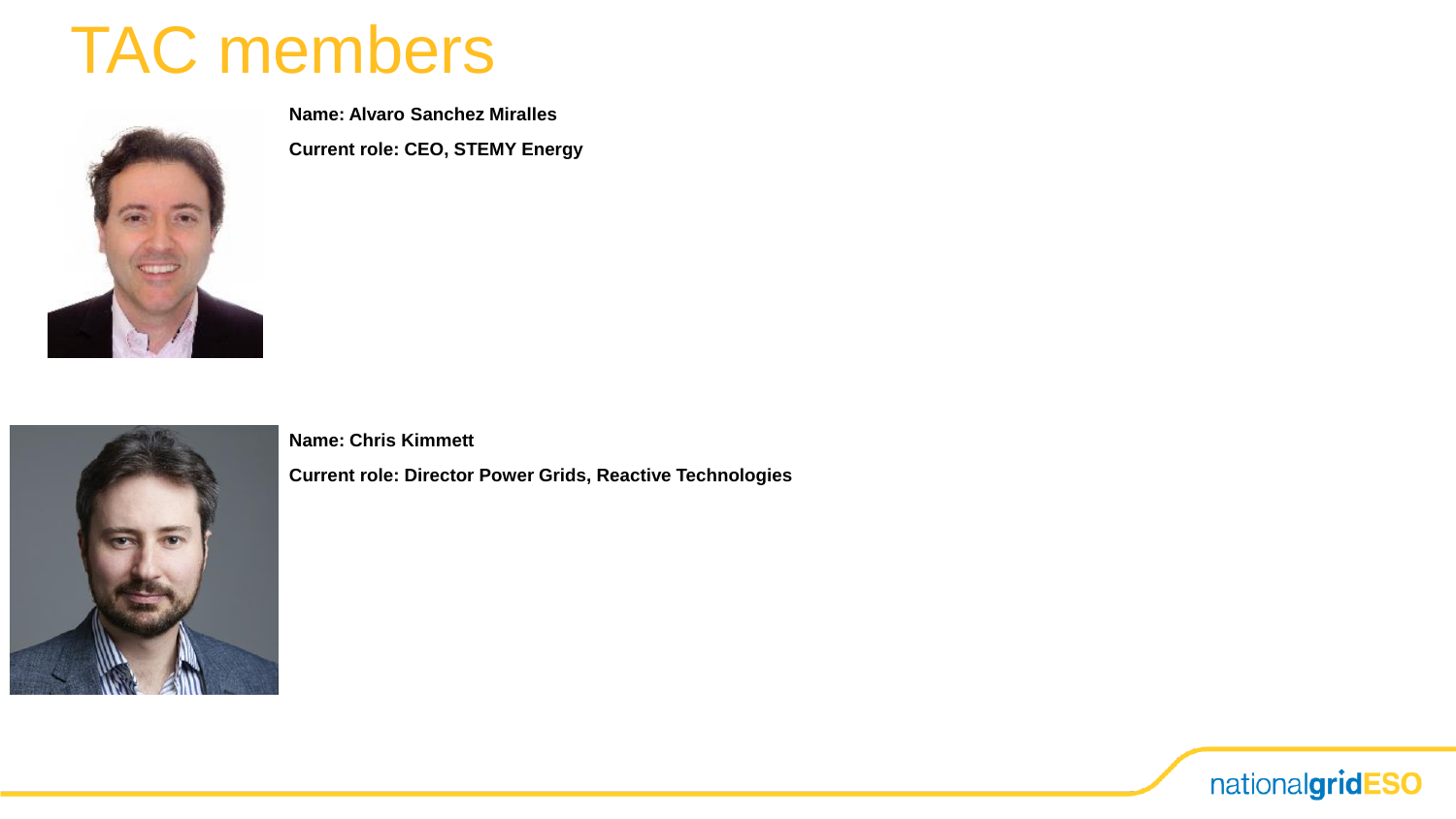

**Name: Alvaro Sanchez Miralles**

**Current role: CEO, STEMY Energy**



**Name: Chris Kimmett**

**Current role: Director Power Grids, Reactive Technologies**

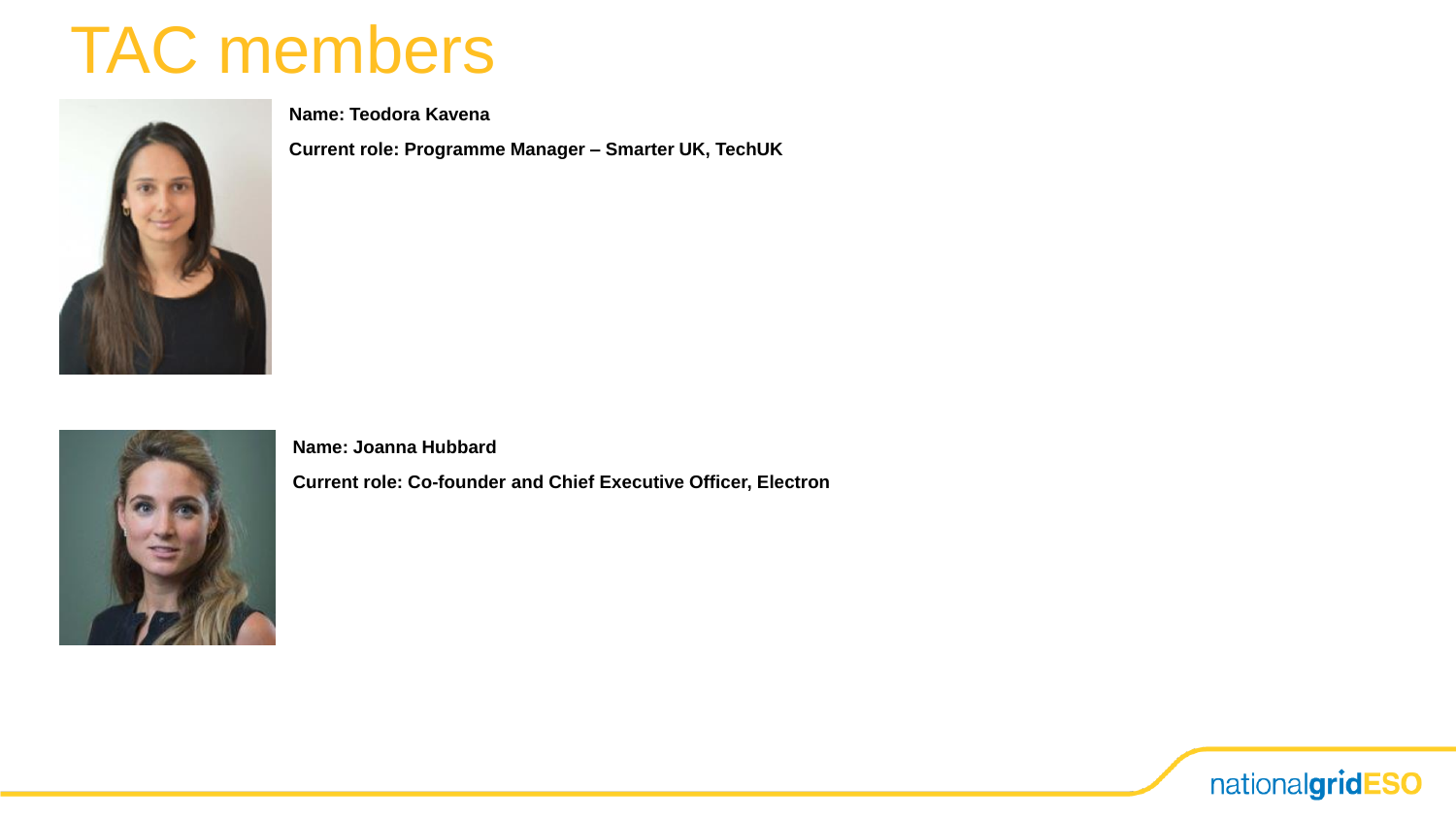

**Name: Teodora Kavena**

**Current role: Programme Manager – Smarter UK, TechUK**



**Name: Joanna Hubbard**

**Current role: Co-founder and Chief Executive Officer, Electron**

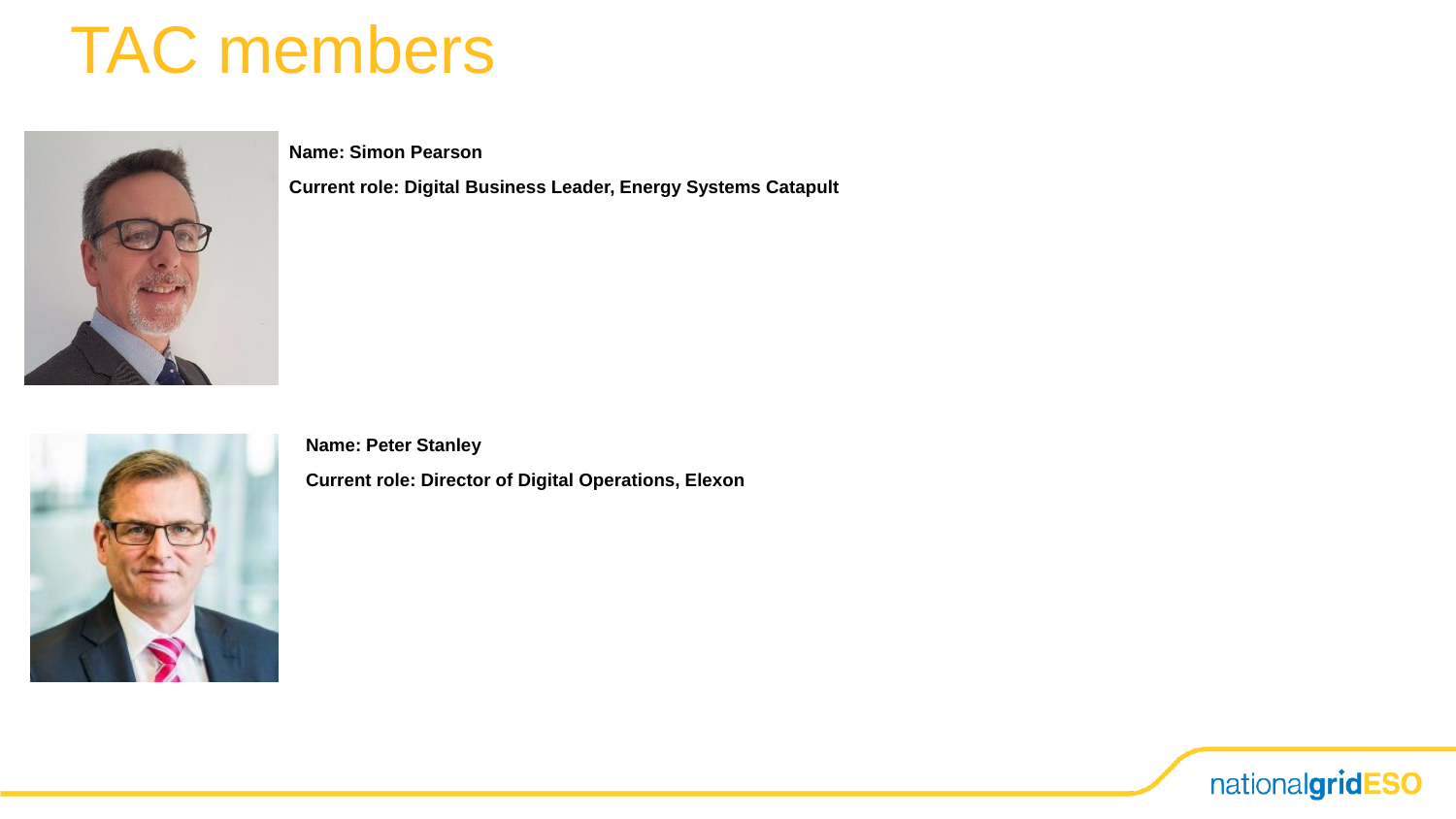

**Name: Simon Pearson**

**Current role: Digital Business Leader, Energy Systems Catapult**

**Name: Peter Stanley Current role: Director of Digital Operations, Elexon**

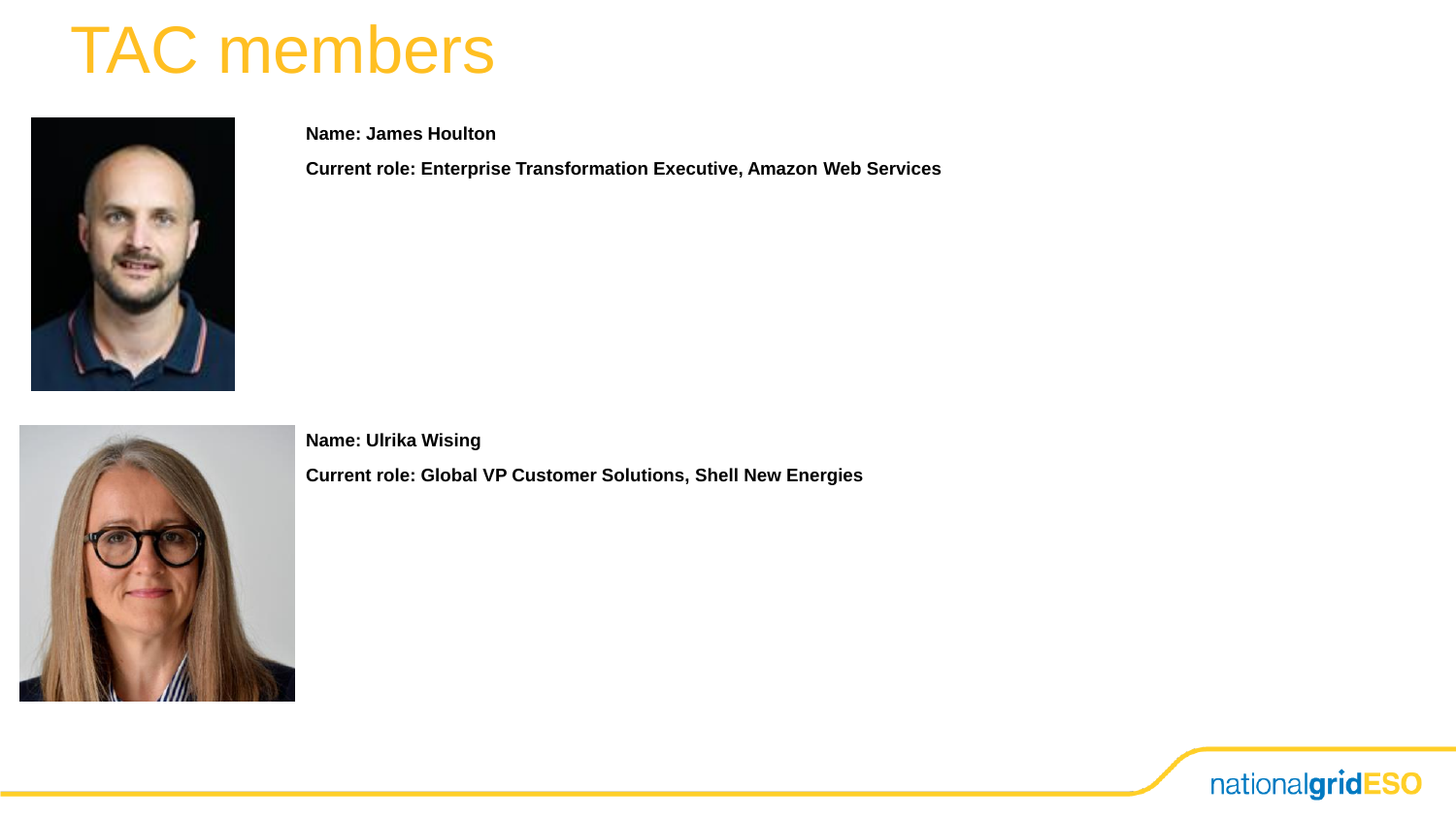

**Name: James Houlton**

**Current role: Enterprise Transformation Executive, Amazon Web Services**



**Name: Ulrika Wising**

**Current role: Global VP Customer Solutions, Shell New Energies**

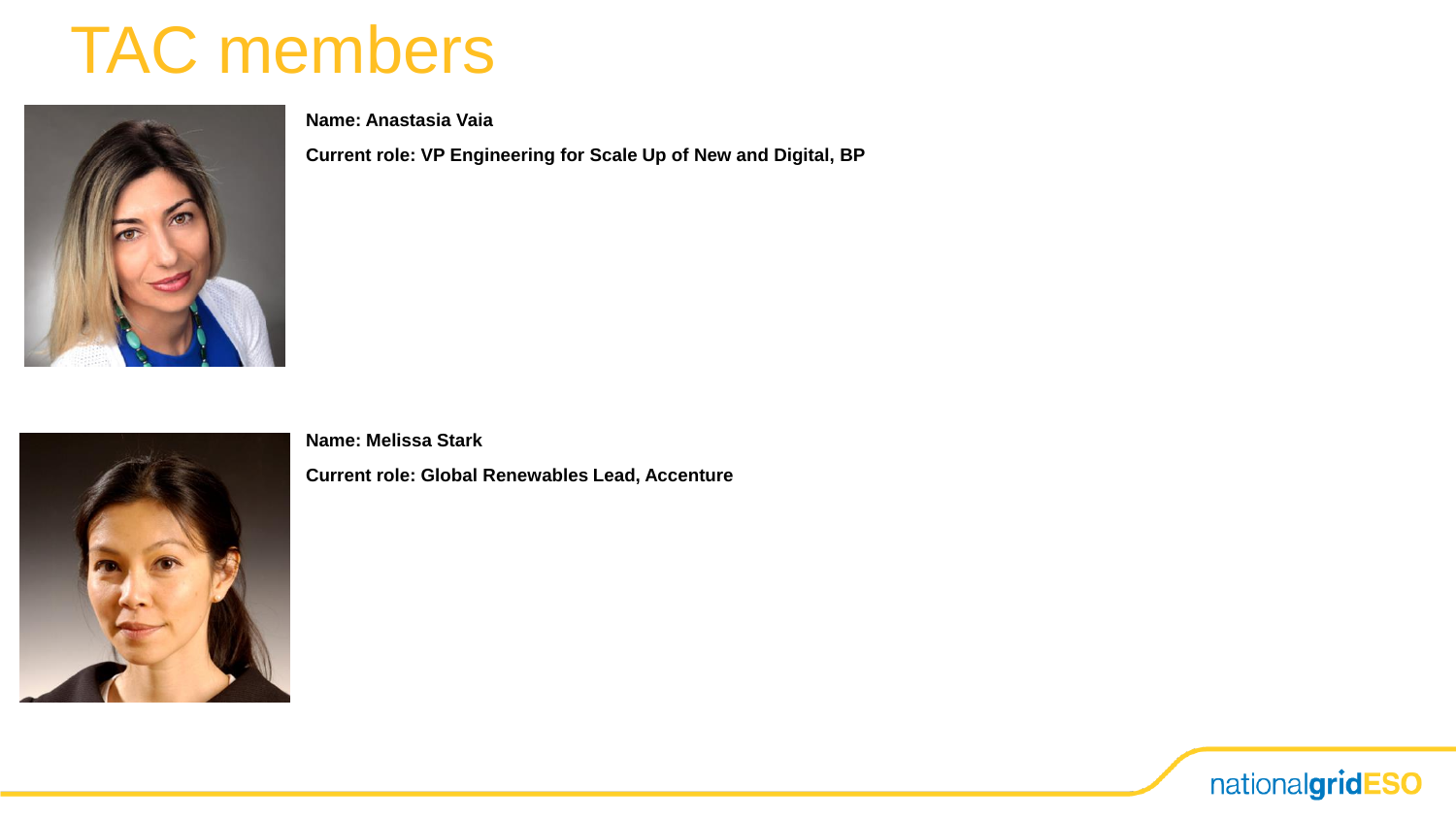

**Name: Anastasia Vaia**

**Current role: VP Engineering for Scale Up of New and Digital, BP**



**Name: Melissa Stark**

**Current role: Global Renewables Lead, Accenture**

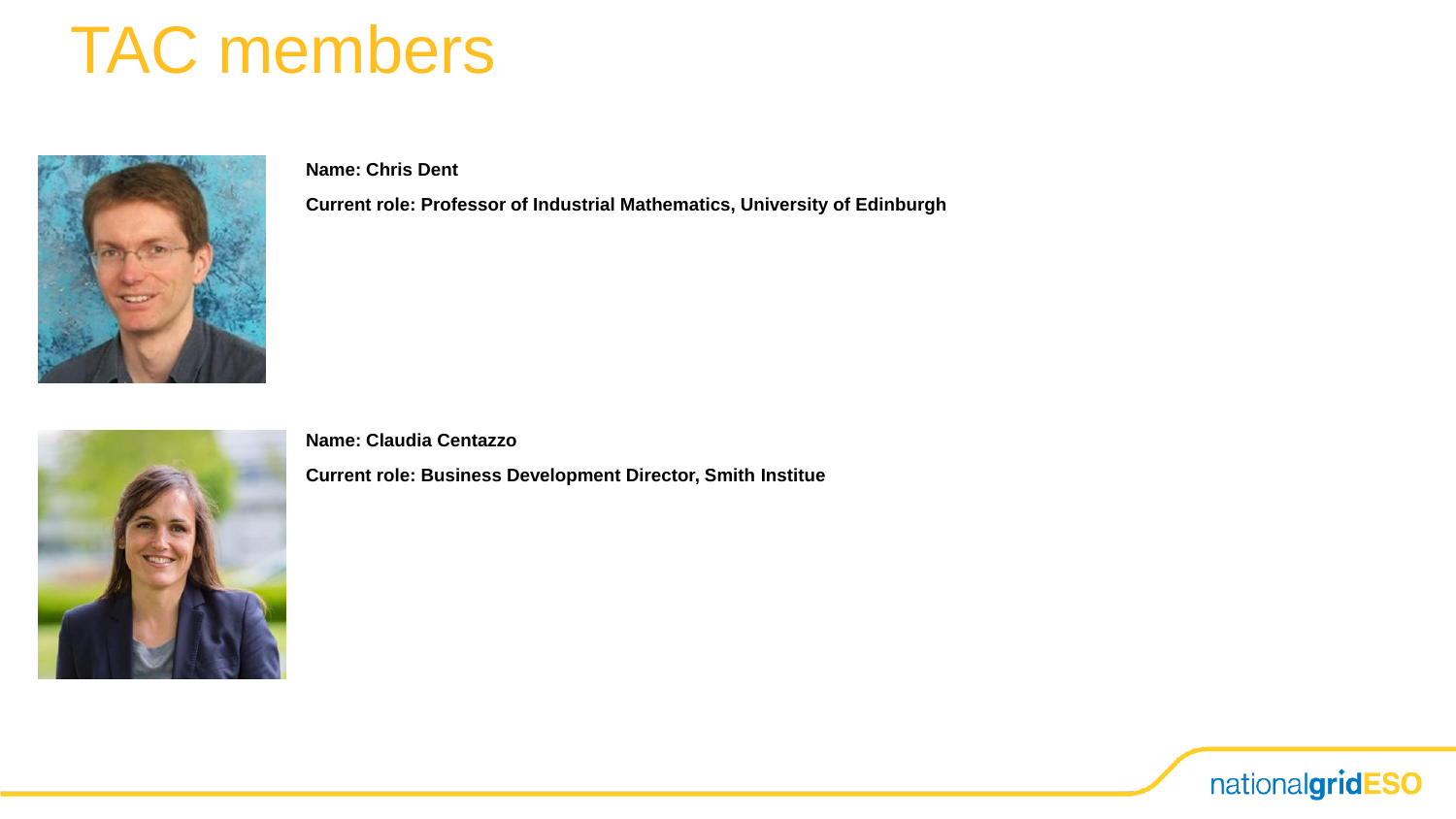

**Name: Chris Dent**

**Current role: Professor of Industrial Mathematics, University of Edinburgh**



**Name: Claudia Centazzo**

**Current role: Business Development Director, Smith Institue**

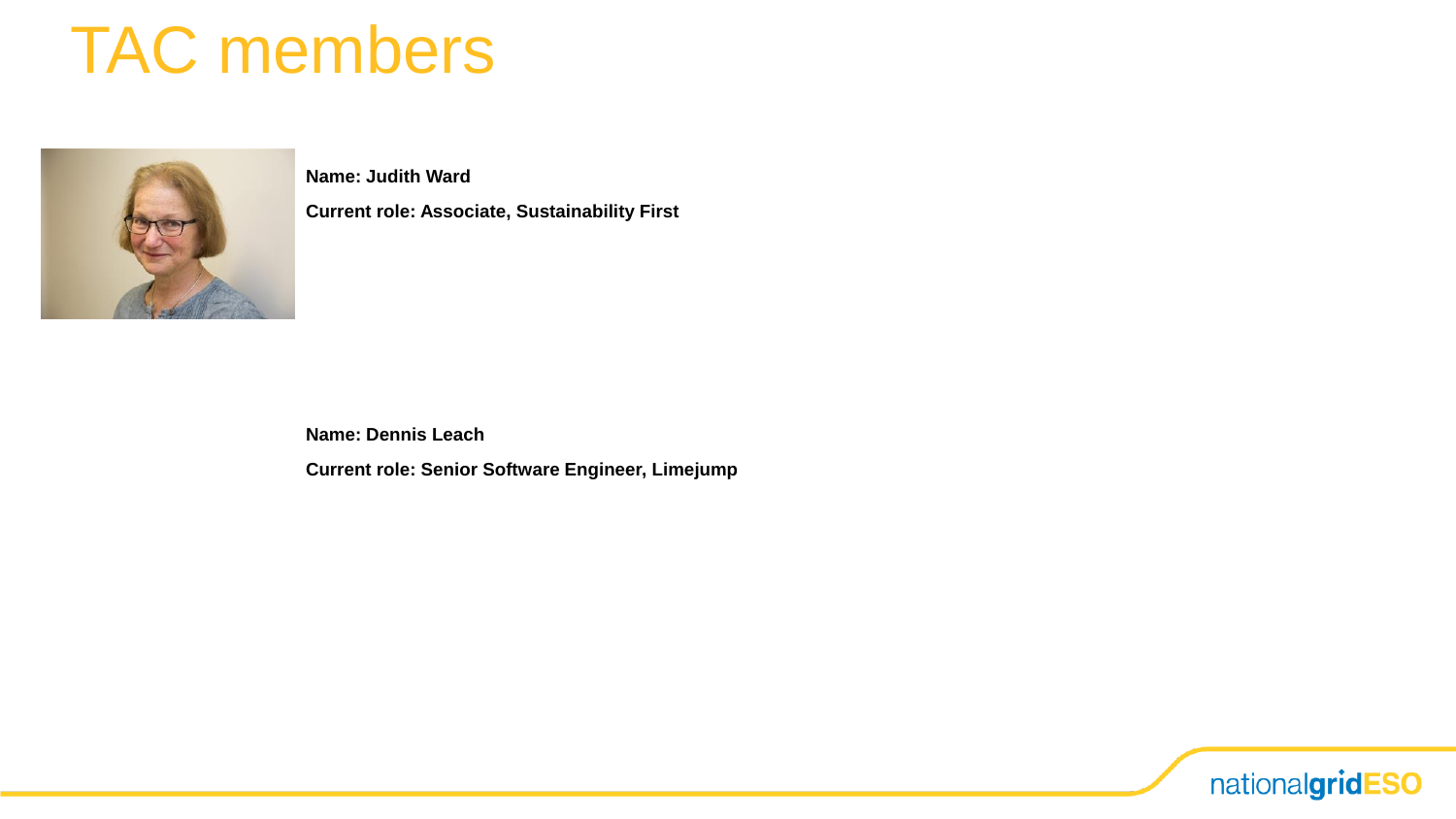

**Name: Judith Ward**

**Current role: Associate, Sustainability First**

**Name: Dennis Leach**

**Current role: Senior Software Engineer, Limejump**

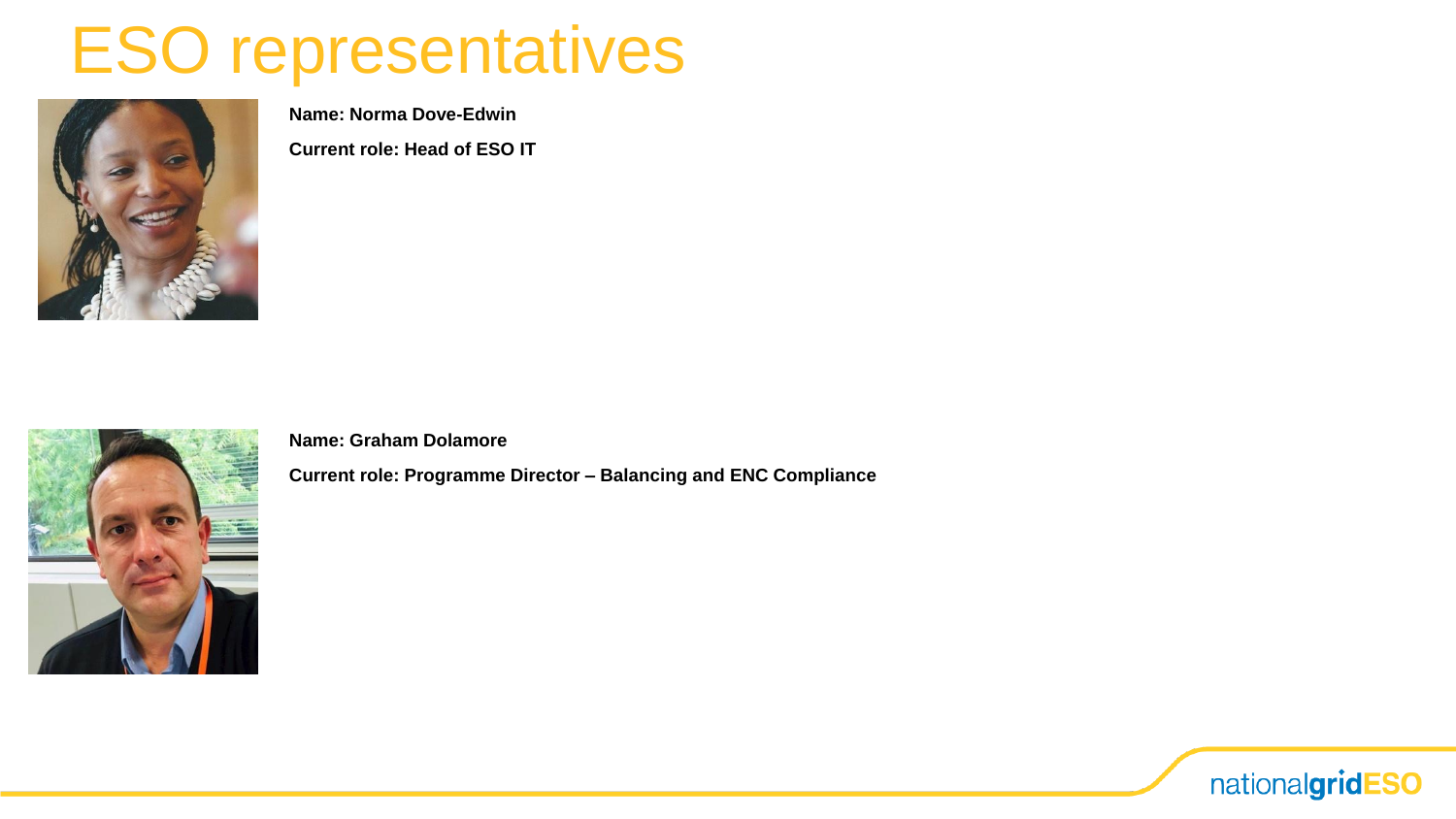## ESO representatives



**Name: Norma Dove-Edwin**

**Current role: Head of ESO IT**



**Name: Graham Dolamore**

**Current role: Programme Director – Balancing and ENC Compliance**

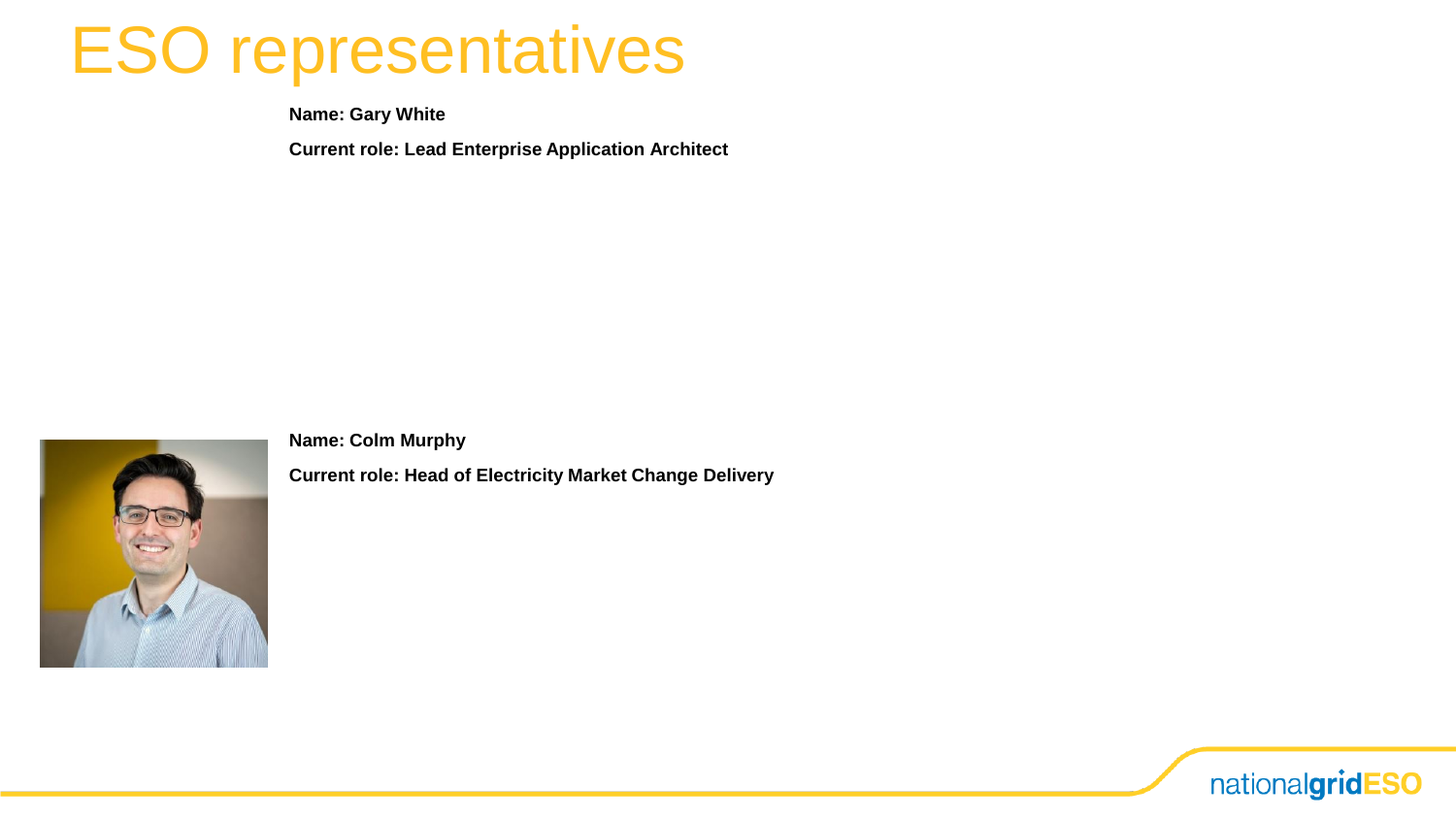## ESO representatives

**Name: Gary White**

**Current role: Lead Enterprise Application Architect**



**Name: Colm Murphy**

**Current role: Head of Electricity Market Change Delivery**

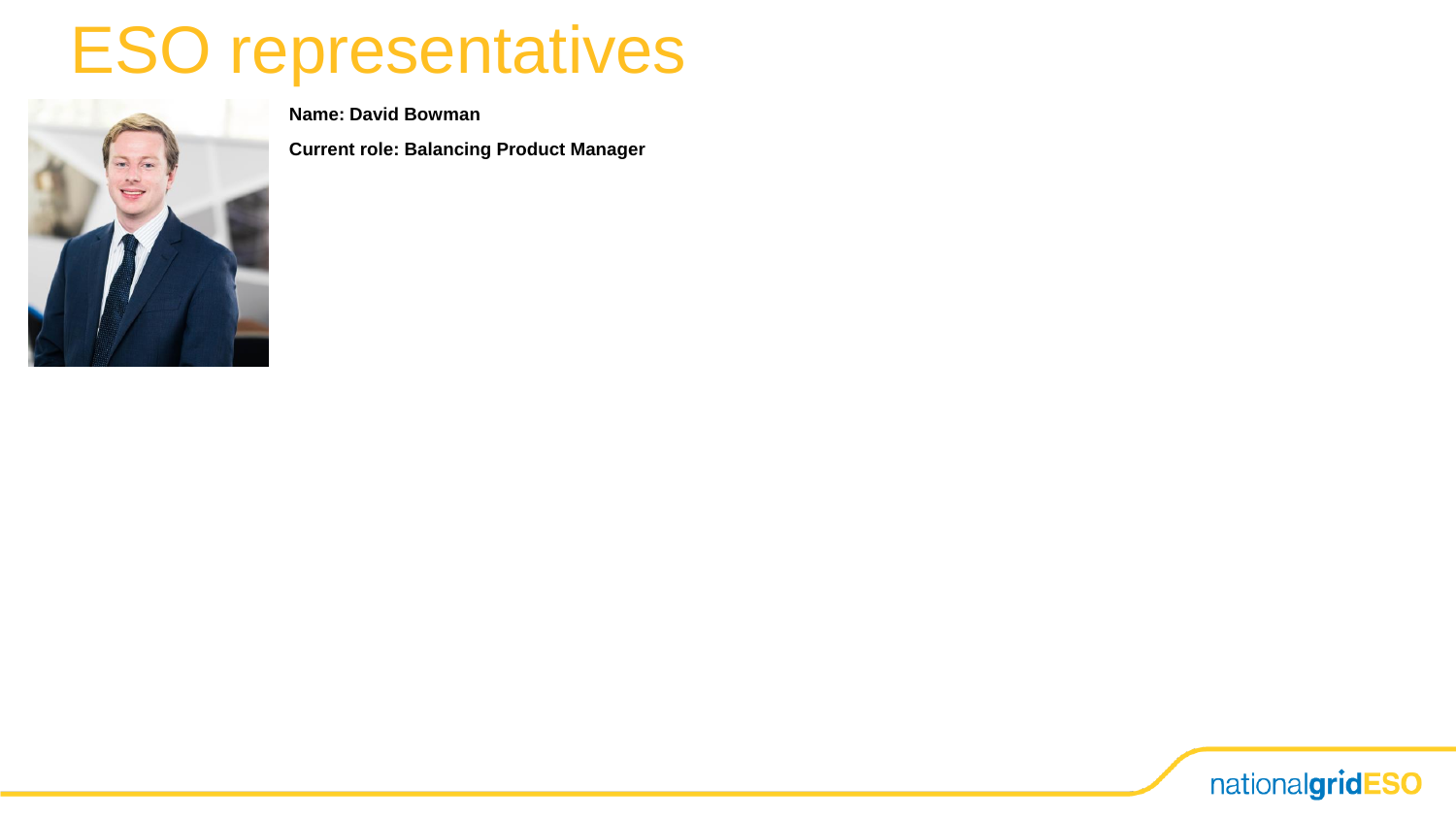## ESO representatives



**Name: David Bowman**

**Current role: Balancing Product Manager**

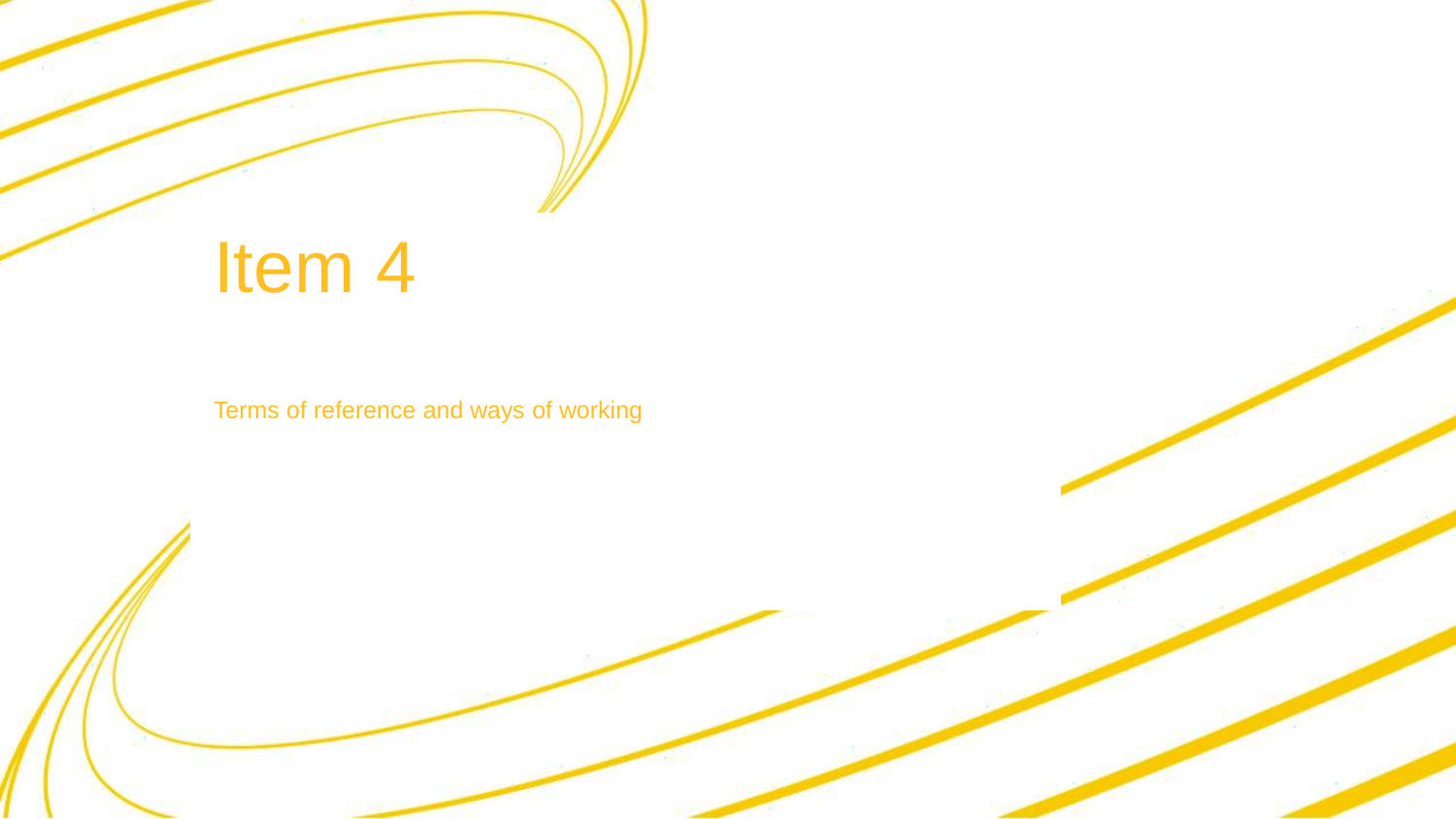## Item 4

Terms of reference and ways of working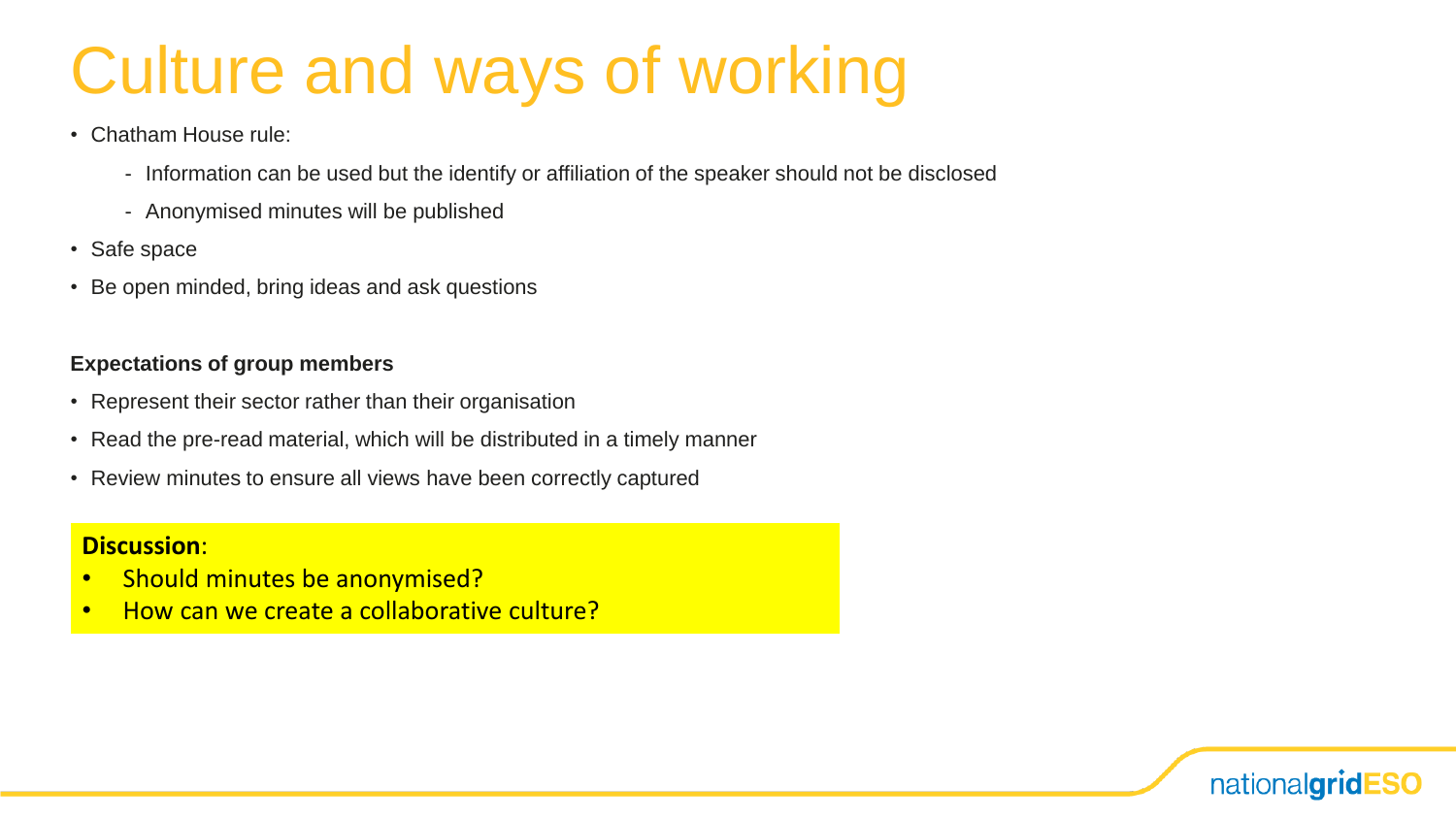## Culture and ways of working

- Chatham House rule:
	- Information can be used but the identify or affiliation of the speaker should not be disclosed
	- Anonymised minutes will be published
- Safe space
- Be open minded, bring ideas and ask questions

#### **Expectations of group members**

- Represent their sector rather than their organisation
- Read the pre-read material, which will be distributed in a timely manner
- Review minutes to ensure all views have been correctly captured

#### **Discussion**:

- Should minutes be anonymised?
- How can we create a collaborative culture?

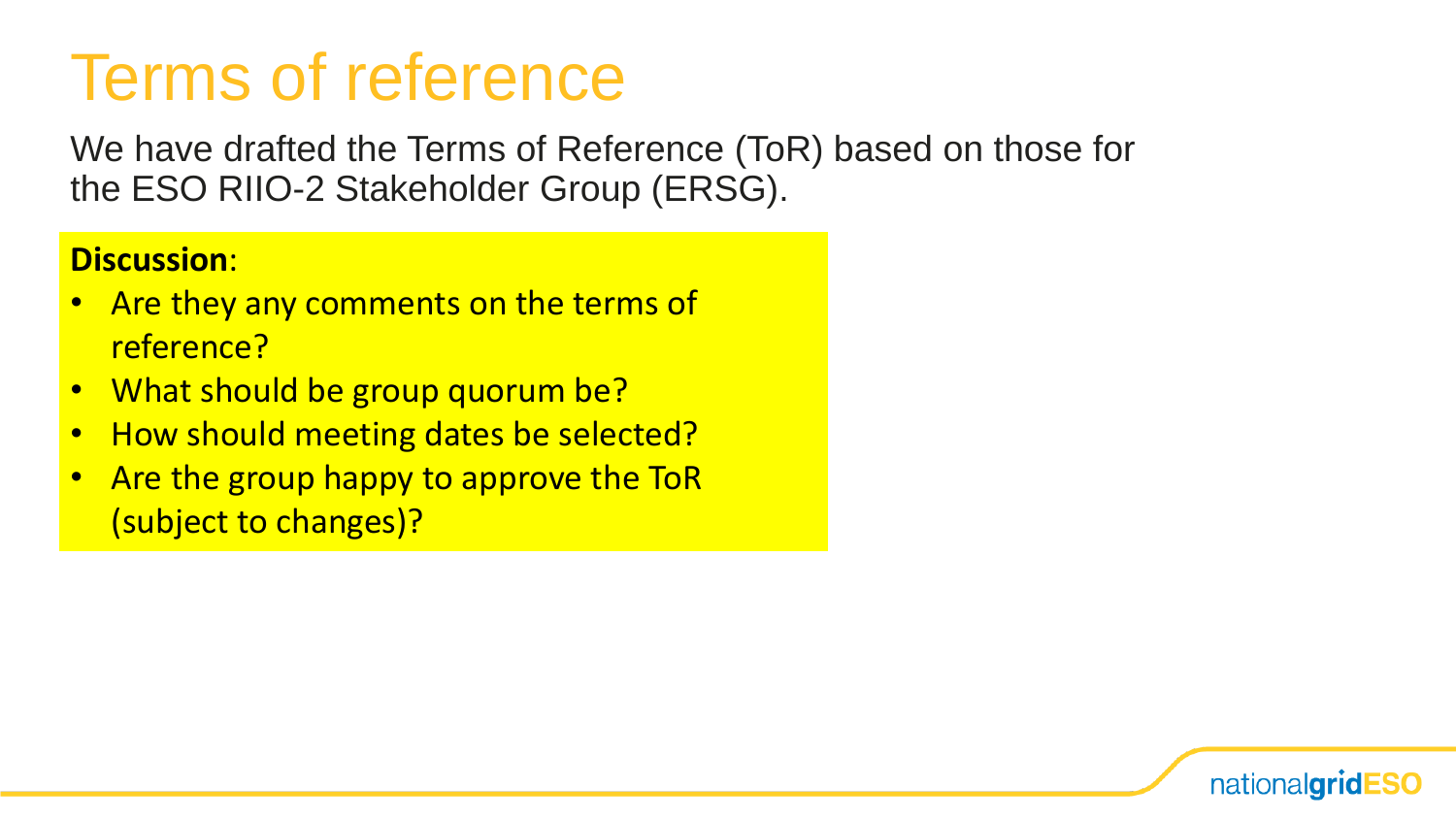### Terms of reference

We have drafted the Terms of Reference (ToR) based on those for the ESO RIIO-2 Stakeholder Group (ERSG).

nationalgridESO

#### **Discussion**:

- Are they any comments on the terms of reference?
- What should be group quorum be?
- How should meeting dates be selected?
- Are the group happy to approve the ToR (subject to changes)?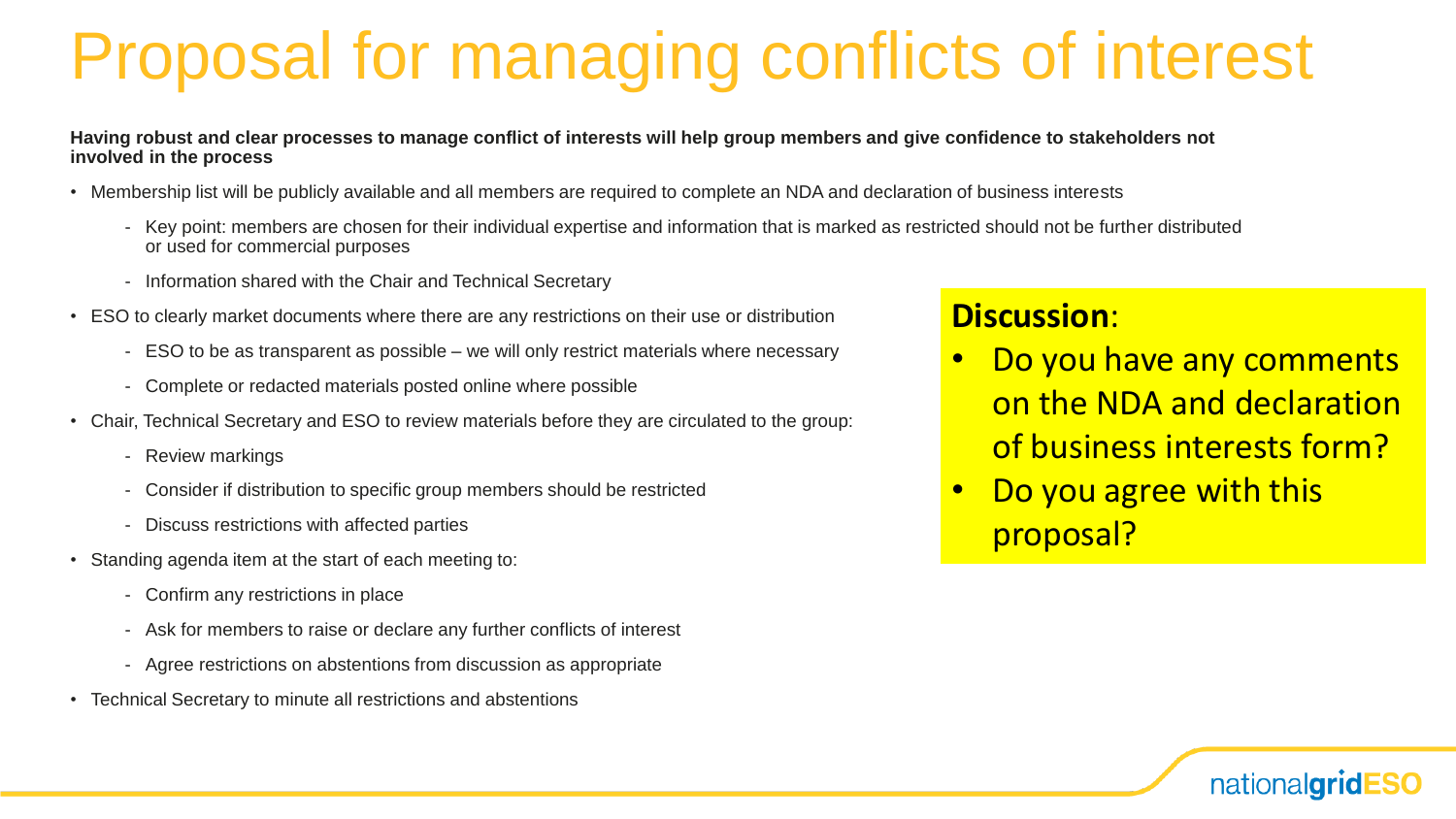## Proposal for managing conflicts of interest

**Having robust and clear processes to manage conflict of interests will help group members and give confidence to stakeholders not involved in the process**

- Membership list will be publicly available and all members are required to complete an NDA and declaration of business interests
	- Key point: members are chosen for their individual expertise and information that is marked as restricted should not be further distributed or used for commercial purposes
	- Information shared with the Chair and Technical Secretary
- ESO to clearly market documents where there are any restrictions on their use or distribution
	- ESO to be as transparent as possible we will only restrict materials where necessary
	- Complete or redacted materials posted online where possible
- Chair, Technical Secretary and ESO to review materials before they are circulated to the group:
	- Review markings
	- Consider if distribution to specific group members should be restricted
	- Discuss restrictions with affected parties
- Standing agenda item at the start of each meeting to:
	- Confirm any restrictions in place
	- Ask for members to raise or declare any further conflicts of interest
	- Agree restrictions on abstentions from discussion as appropriate
- Technical Secretary to minute all restrictions and abstentions

#### **Discussion**:

• Do you have any comments on the NDA and declaration of business interests form?

nationalgridl

Do you agree with this proposal?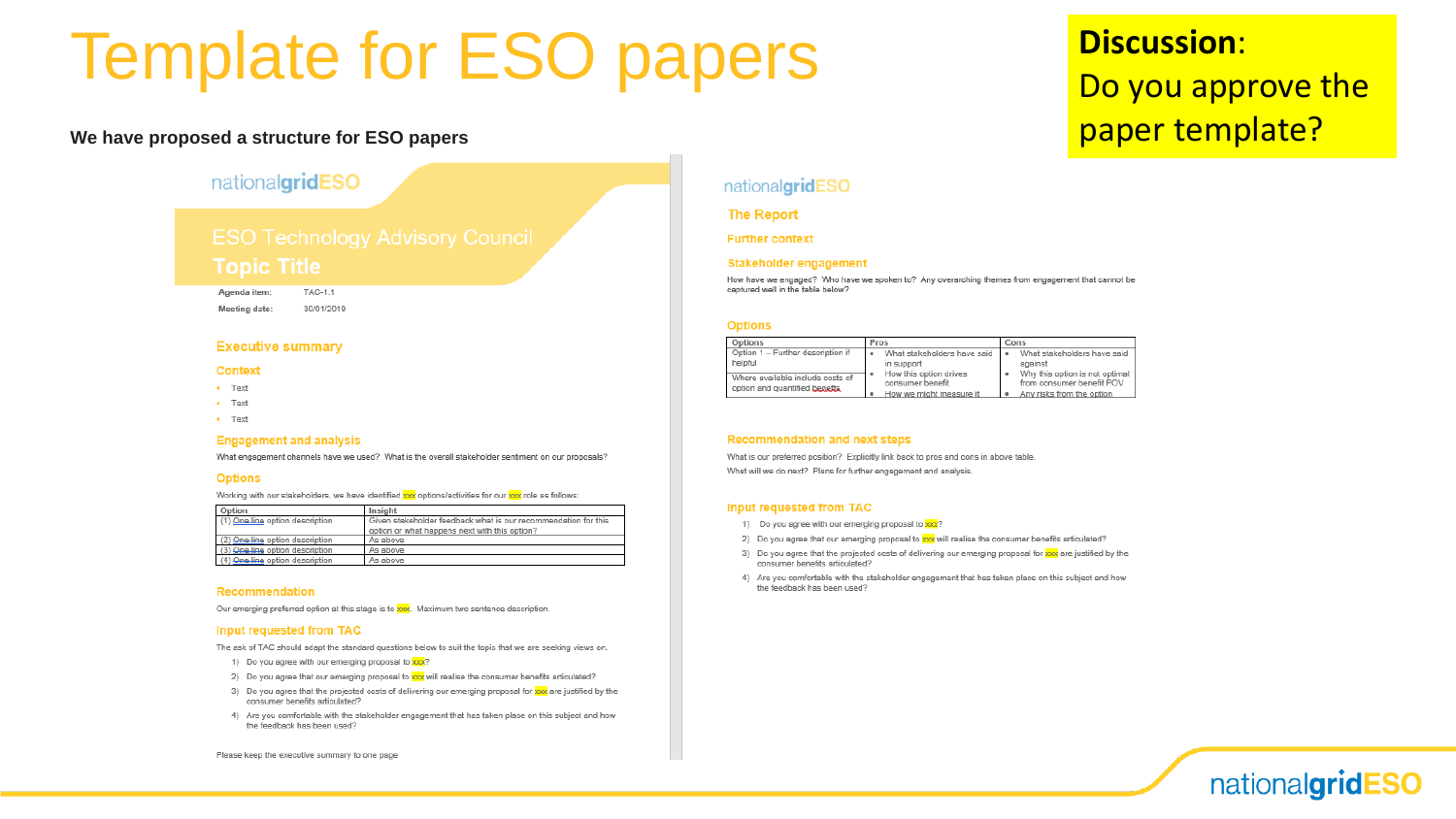### Template for ESO papers

#### **We have proposed a structure for ESO papers**

#### nationalgridESO

#### **Topic Title**

Agenda item: TAC-1.1 Meeting date:

30/01/2019

#### **Executive summary**

#### **Context**

- $\bullet$  Text
- $\bullet$  Text
- $\bullet$  Text

#### **Engagement and analysis**

What engagement channels have we used? What is the overall stakeholder sentiment on our proposals?

#### **Options**

Working with our stakeholders, we have identified xxx options/activities for our xxx role as follows:

| Option                          | Insight                                                        |  |  |
|---------------------------------|----------------------------------------------------------------|--|--|
| (1) One line option description | Given stakeholder feedback what is our recommendation for this |  |  |
|                                 | option or what happens next with this option?                  |  |  |
| (2) One line option description | As above                                                       |  |  |
| (3) One line option description | As above                                                       |  |  |
| (4) One line option description | As above                                                       |  |  |

#### Recommendation

Our emerging preferred option at this stage is to xxx. Maximum two sentence description.

#### Input requested from TAC

The ask of TAC should adapt the standard questions below to suit the topic that we are seeking views on.

- 1) Do you agree with our emerging proposal to xxx?
- 2) Do you agree that our emerging proposal to xxx will realise the consumer benefits articulated?
- 3) Do you agree that the projected costs of delivering our emerging proposal for xx are justified by the consumer benefits articulated?
- 4) Are you comfortable with the stakeholder engagement that has taken place on this subject and how the feedback has been used?

#### **Discussion**:

#### Do you approve the paper template?

#### nationalgridESO

#### **The Report**

**Further context** 

#### Stakeholder engagement

How have we engaged? Who have we spoken to? Any overarching themes from engagement that cannot be captured well in the table below?

#### **Options**

| Options                                                           | Pros                                       | Cons                                                        |  |
|-------------------------------------------------------------------|--------------------------------------------|-------------------------------------------------------------|--|
| Option 1 - Further description if                                 | What stakeholders have said                | What stakeholders have said                                 |  |
| helpful                                                           | in support                                 | against                                                     |  |
| Where available include costs of<br>option and quantified benefts | How this option drives<br>consumer benefit | Why this option is not optimal<br>from consumer benefit POV |  |
|                                                                   | How we might measure it                    | Any risks from the option                                   |  |

#### **Recommendation and next steps**

What is our preferred position? Explicitly link back to pros and cons in above table. What will we do next? Plans for further engagement and analysis.

#### Input requested from TAC

- 1) Do you agree with our emerging proposal to xxx?
- 2) Do you agree that our emerging proposal to xxx will realise the consumer benefits articulated?
- 3) Do you agree that the projected costs of delivering our emerging proposal for xxx are justified by the consumer benefits articulated?
- 4) Are you comfortable with the stakeholder engagement that has taken place on this subject and how the feedback has been used?



Please keep the executive summary to one page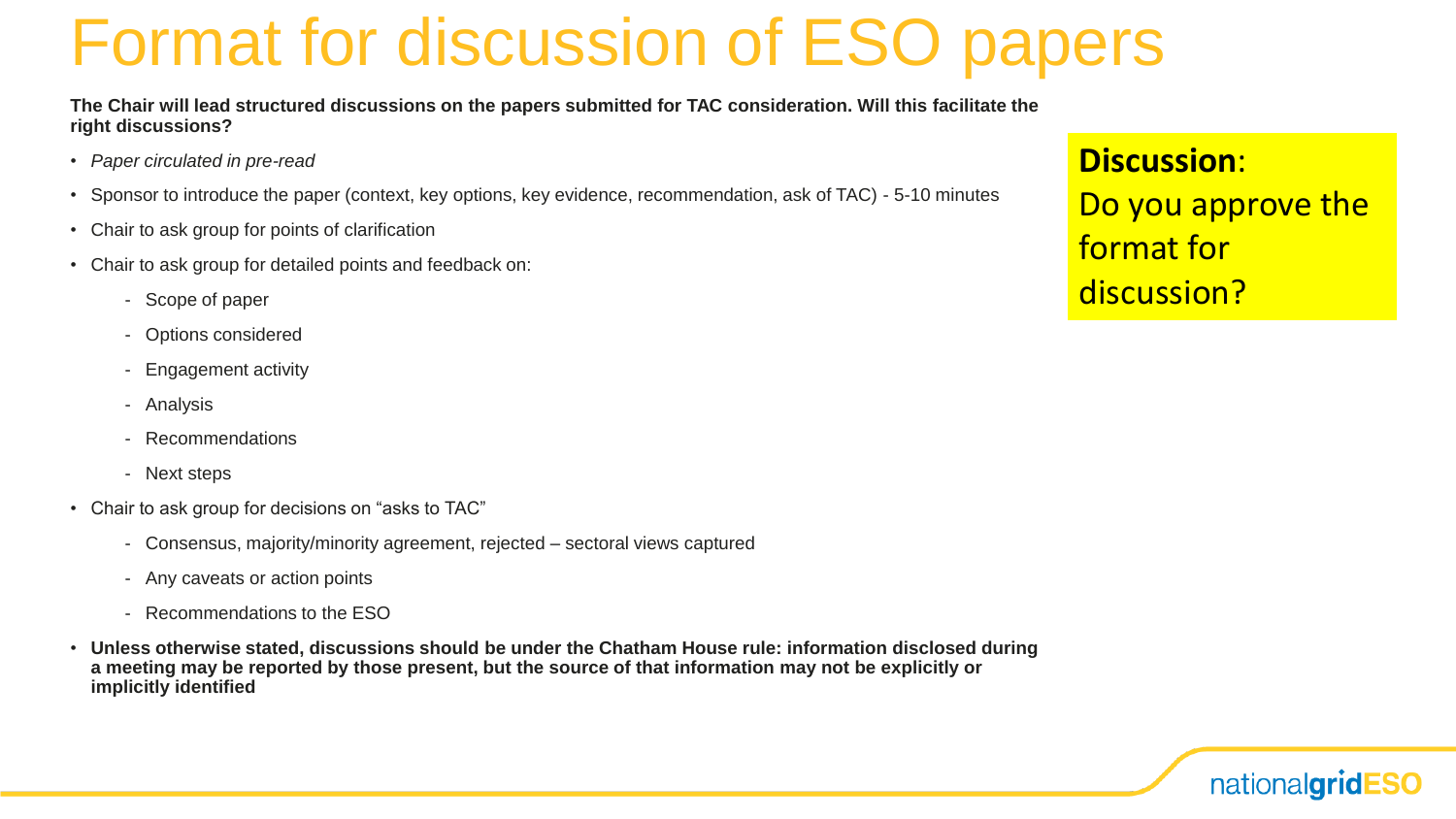### Format for discussion of ESO papers

**The Chair will lead structured discussions on the papers submitted for TAC consideration. Will this facilitate the right discussions?**

- *Paper circulated in pre-read*
- Sponsor to introduce the paper (context, key options, key evidence, recommendation, ask of TAC) 5-10 minutes
- Chair to ask group for points of clarification
- Chair to ask group for detailed points and feedback on:
	- Scope of paper
	- Options considered
	- Engagement activity
	- Analysis
	- **Recommendations**
	- Next steps
- Chair to ask group for decisions on "asks to TAC"
	- Consensus, majority/minority agreement, rejected sectoral views captured
	- Any caveats or action points
	- Recommendations to the ESO
- **Unless otherwise stated, discussions should be under the Chatham House rule: information disclosed during a meeting may be reported by those present, but the source of that information may not be explicitly or implicitly identified**

**Discussion**: Do you approve the format for discussion?

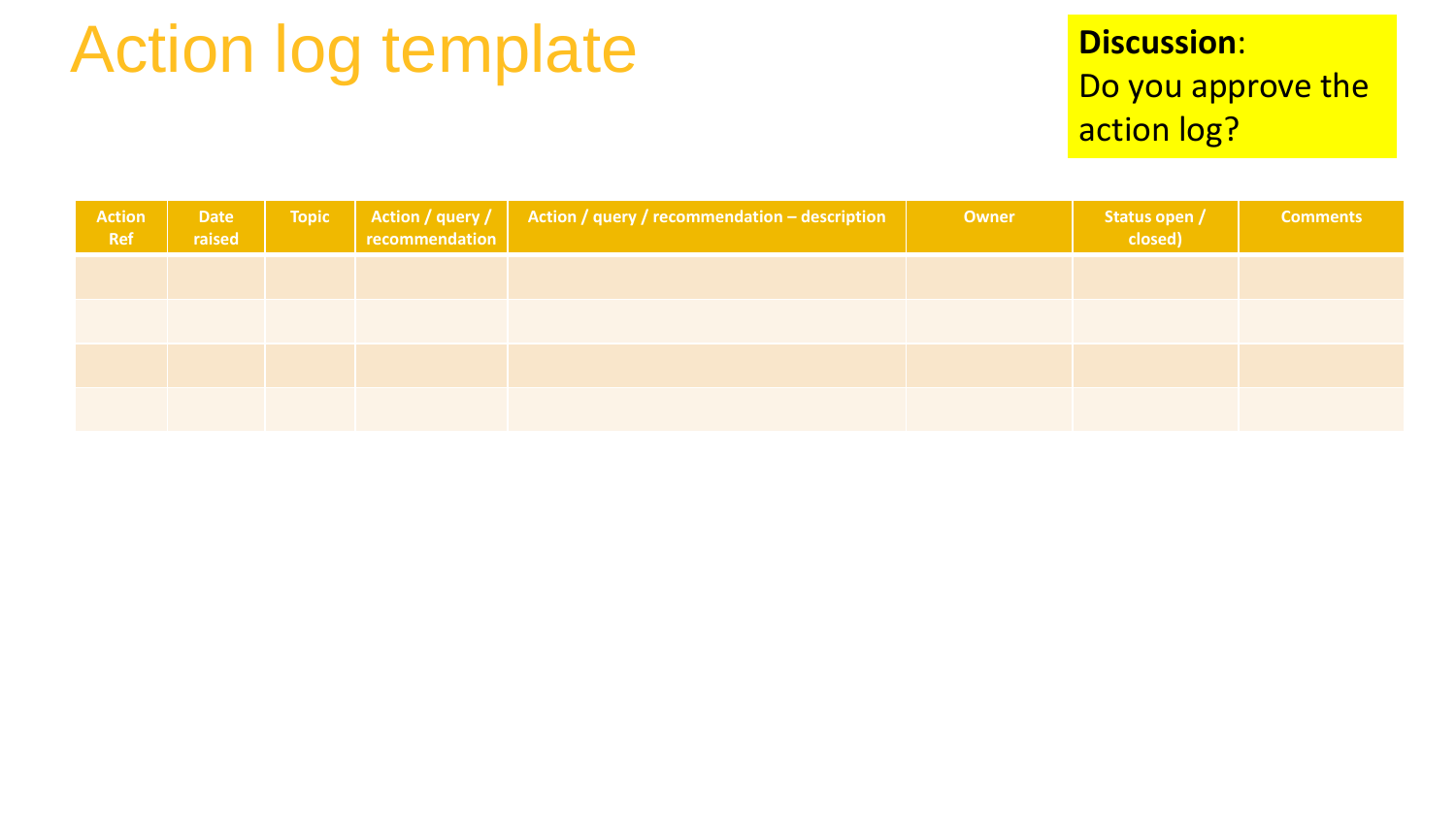## Action log template

#### **Discussion**: Do you approve the action log?

| Action<br>Ref | <b>Date</b><br>raised | <b>Topic</b> | Action / query / $\vert$ Action / query / recommendation – description recommendation | Owner | Status open /<br>closed) | <b>Comments</b> |
|---------------|-----------------------|--------------|---------------------------------------------------------------------------------------|-------|--------------------------|-----------------|
|               |                       |              |                                                                                       |       |                          |                 |
|               |                       |              |                                                                                       |       |                          |                 |
|               |                       |              |                                                                                       |       |                          |                 |
|               |                       |              |                                                                                       |       |                          |                 |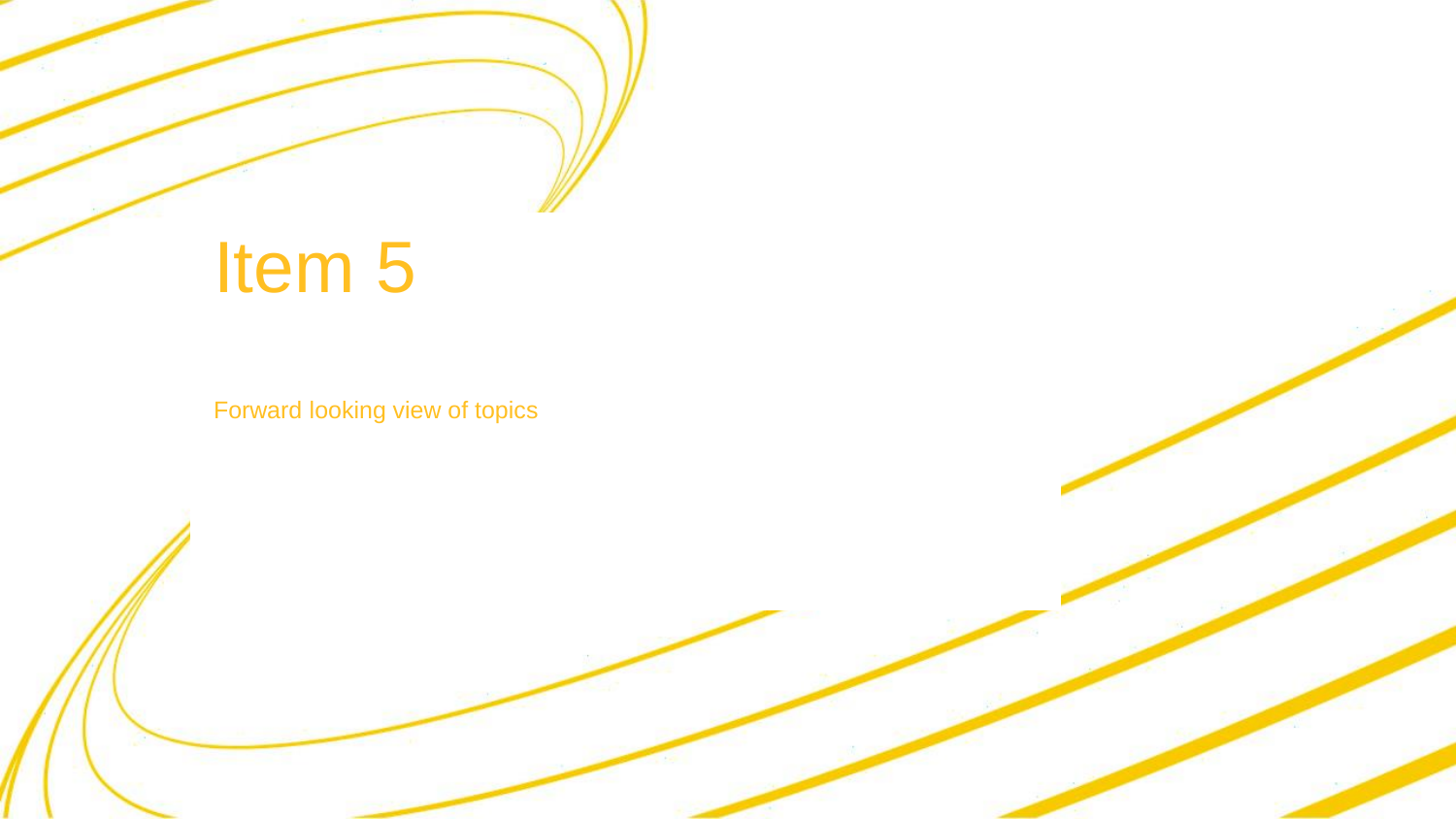## Item 5

Forward looking view of topics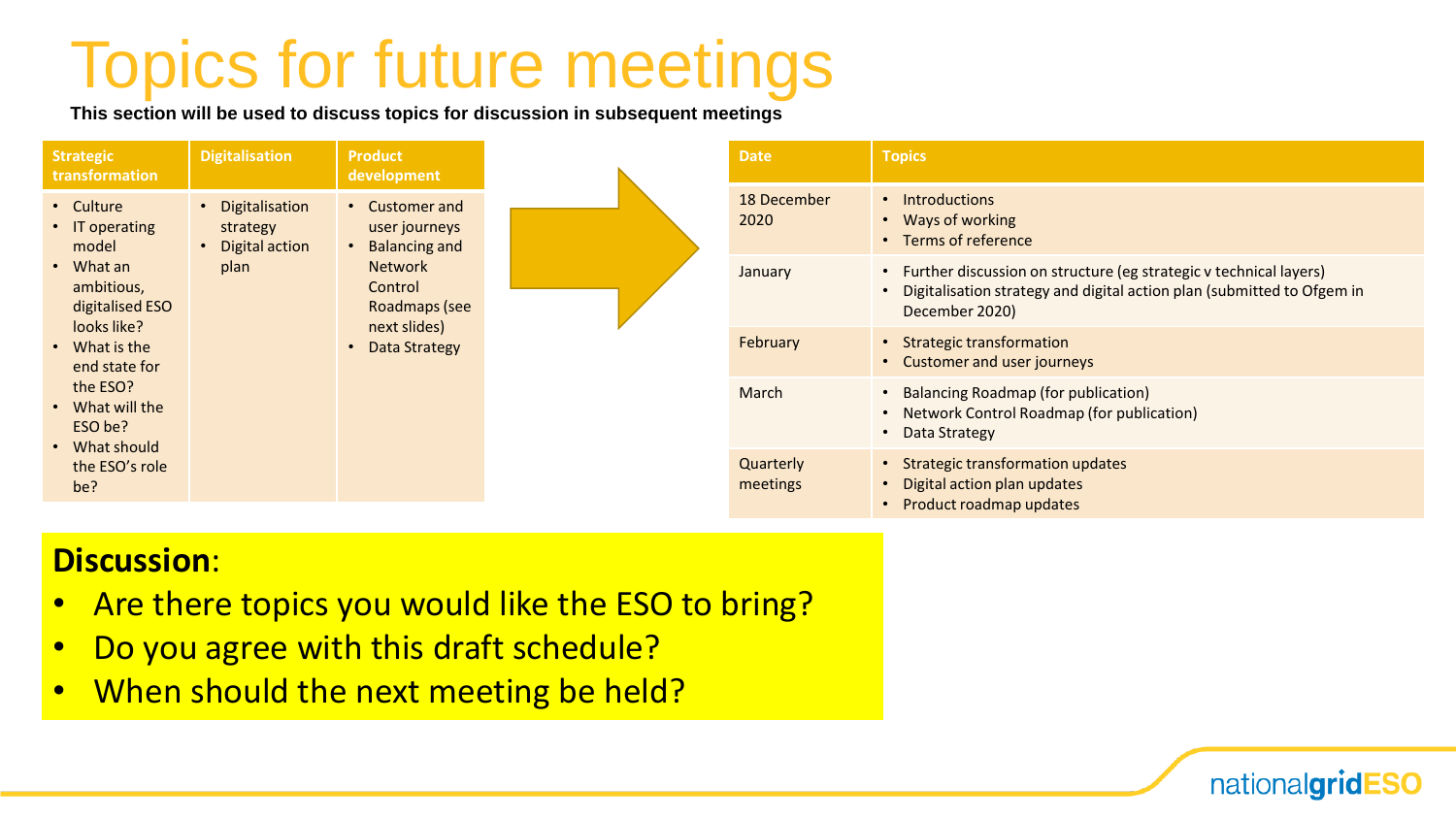### Topics for future meetings

**This section will be used to discuss topics for discussion in subsequent meetings**

| <b>Strategic</b><br>transformation                      | <b>Digitalisation</b>                                    | <b>Product</b><br>development                                                                                                          |                       | <b>Date</b>                                                                                  | <b>Topics</b>                                                                                                                                                 |                                                            |
|---------------------------------------------------------|----------------------------------------------------------|----------------------------------------------------------------------------------------------------------------------------------------|-----------------------|----------------------------------------------------------------------------------------------|---------------------------------------------------------------------------------------------------------------------------------------------------------------|------------------------------------------------------------|
| • Culture<br>• IT operating<br>model                    | • Digitalisation<br>strategy<br>• Digital action<br>plan | • Customer and<br>user journeys<br><b>Balancing and</b><br><b>Network</b><br>Control<br>Roadmaps (see<br>next slides)<br>Data Strategy |                       | 18 December<br>2020                                                                          | • Introductions<br>• Ways of working<br>• Terms of reference                                                                                                  |                                                            |
| $\cdot$ What an<br>ambitious,<br>digitalised ESO        |                                                          |                                                                                                                                        |                       | January                                                                                      | Further discussion on structure (eg strategic v technical layers)<br>Digitalisation strategy and digital action plan (submitted to Ofgem in<br>December 2020) |                                                            |
| looks like?<br>• What is the<br>end state for           |                                                          |                                                                                                                                        |                       |                                                                                              | February                                                                                                                                                      | • Strategic transformation<br>• Customer and user journeys |
| the ESO?<br>• What will the<br>ESO be?<br>• What should |                                                          |                                                                                                                                        |                       | March                                                                                        | <b>Balancing Roadmap (for publication)</b><br>Network Control Roadmap (for publication)<br>Data Strategy                                                      |                                                            |
| the ESO's role<br>be?                                   |                                                          |                                                                                                                                        | Quarterly<br>meetings | • Strategic transformation updates<br>Digital action plan updates<br>Product roadmap updates |                                                                                                                                                               |                                                            |

nationalgridESO

#### **Discussion**:

- Are there topics you would like the ESO to bring?
- Do you agree with this draft schedule?
- When should the next meeting be held?